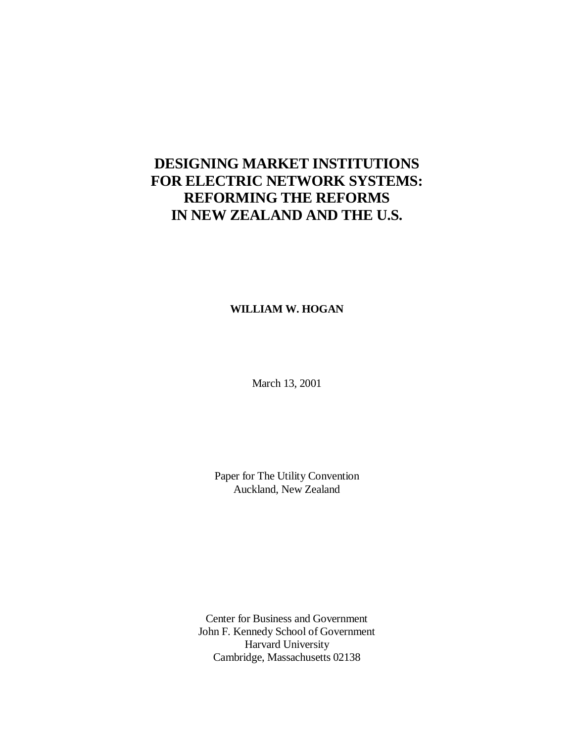# **DESIGNING MARKET INSTITUTIONS FOR ELECTRIC NETWORK SYSTEMS: REFORMING THE REFORMS IN NEW ZEALAND AND THE U.S.**

### **WILLIAM W. HOGAN**

March 13, 2001

Paper for The Utility Convention Auckland, New Zealand

Center for Business and Government John F. Kennedy School of Government Harvard University Cambridge, Massachusetts 02138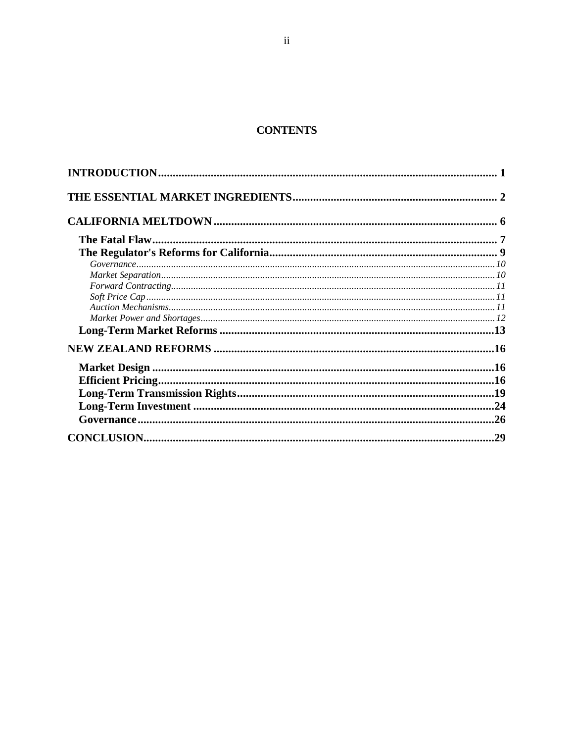## **CONTENTS**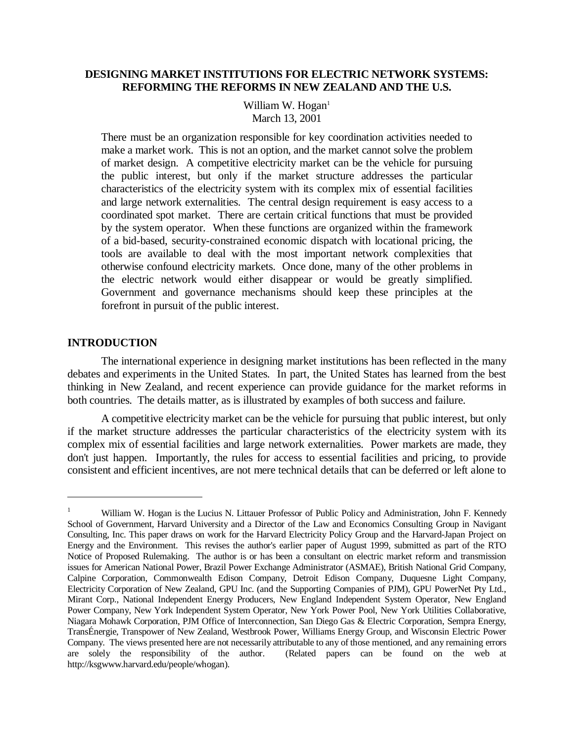### **DESIGNING MARKET INSTITUTIONS FOR ELECTRIC NETWORK SYSTEMS: REFORMING THE REFORMS IN NEW ZEALAND AND THE U.S.**

William W. Hogan $<sup>1</sup>$ </sup> March 13, 2001

There must be an organization responsible for key coordination activities needed to make a market work. This is not an option, and the market cannot solve the problem of market design. A competitive electricity market can be the vehicle for pursuing the public interest, but only if the market structure addresses the particular characteristics of the electricity system with its complex mix of essential facilities and large network externalities. The central design requirement is easy access to a coordinated spot market. There are certain critical functions that must be provided by the system operator. When these functions are organized within the framework of a bid-based, security-constrained economic dispatch with locational pricing, the tools are available to deal with the most important network complexities that otherwise confound electricity markets. Once done, many of the other problems in the electric network would either disappear or would be greatly simplified. Government and governance mechanisms should keep these principles at the forefront in pursuit of the public interest.

### **INTRODUCTION**

 $\overline{a}$ 

The international experience in designing market institutions has been reflected in the many debates and experiments in the United States. In part, the United States has learned from the best thinking in New Zealand, and recent experience can provide guidance for the market reforms in both countries. The details matter, as is illustrated by examples of both success and failure.

A competitive electricity market can be the vehicle for pursuing that public interest, but only if the market structure addresses the particular characteristics of the electricity system with its complex mix of essential facilities and large network externalities. Power markets are made, they don't just happen. Importantly, the rules for access to essential facilities and pricing, to provide consistent and efficient incentives, are not mere technical details that can be deferred or left alone to

<sup>1</sup> William W. Hogan is the Lucius N. Littauer Professor of Public Policy and Administration, John F. Kennedy School of Government, Harvard University and a Director of the Law and Economics Consulting Group in Navigant Consulting, Inc. This paper draws on work for the Harvard Electricity Policy Group and the Harvard-Japan Project on Energy and the Environment. This revises the author's earlier paper of August 1999, submitted as part of the RTO Notice of Proposed Rulemaking. The author is or has been a consultant on electric market reform and transmission issues for American National Power, Brazil Power Exchange Administrator (ASMAE), British National Grid Company, Calpine Corporation, Commonwealth Edison Company, Detroit Edison Company, Duquesne Light Company, Electricity Corporation of New Zealand, GPU Inc. (and the Supporting Companies of PJM), GPU PowerNet Pty Ltd., Mirant Corp., National Independent Energy Producers, New England Independent System Operator, New England Power Company, New York Independent System Operator, New York Power Pool, New York Utilities Collaborative, Niagara Mohawk Corporation, PJM Office of Interconnection, San Diego Gas & Electric Corporation, Sempra Energy, TransÉnergie, Transpower of New Zealand, Westbrook Power, Williams Energy Group, and Wisconsin Electric Power Company. The views presented here are not necessarily attributable to any of those mentioned, and any remaining errors are solely the responsibility of the author. (Related papers can be found on the web at are solely the responsibility of the author. http://ksgwww.harvard.edu/people/whogan).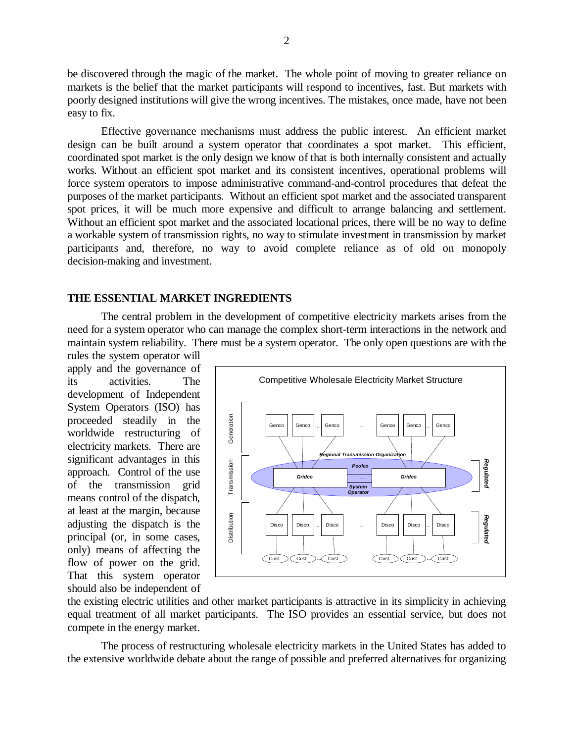be discovered through the magic of the market. The whole point of moving to greater reliance on markets is the belief that the market participants will respond to incentives, fast. But markets with poorly designed institutions will give the wrong incentives. The mistakes, once made, have not been easy to fix.

 Effective governance mechanisms must address the public interest. An efficient market design can be built around a system operator that coordinates a spot market. This efficient, coordinated spot market is the only design we know of that is both internally consistent and actually works. Without an efficient spot market and its consistent incentives, operational problems will force system operators to impose administrative command-and-control procedures that defeat the purposes of the market participants. Without an efficient spot market and the associated transparent spot prices, it will be much more expensive and difficult to arrange balancing and settlement. Without an efficient spot market and the associated locational prices, there will be no way to define a workable system of transmission rights, no way to stimulate investment in transmission by market participants and, therefore, no way to avoid complete reliance as of old on monopoly decision-making and investment.

### **THE ESSENTIAL MARKET INGREDIENTS**

The central problem in the development of competitive electricity markets arises from the need for a system operator who can manage the complex short-term interactions in the network and maintain system reliability. There must be a system operator. The only open questions are with the

rules the system operator will apply and the governance of its activities. The development of Independent System Operators (ISO) has proceeded steadily in the worldwide restructuring of electricity markets. There are significant advantages in this approach. Control of the use of the transmission grid means control of the dispatch, at least at the margin, because adjusting the dispatch is the principal (or, in some cases, only) means of affecting the flow of power on the grid. That this system operator should also be independent of



the existing electric utilities and other market participants is attractive in its simplicity in achieving equal treatment of all market participants. The ISO provides an essential service, but does not compete in the energy market.

The process of restructuring wholesale electricity markets in the United States has added to the extensive worldwide debate about the range of possible and preferred alternatives for organizing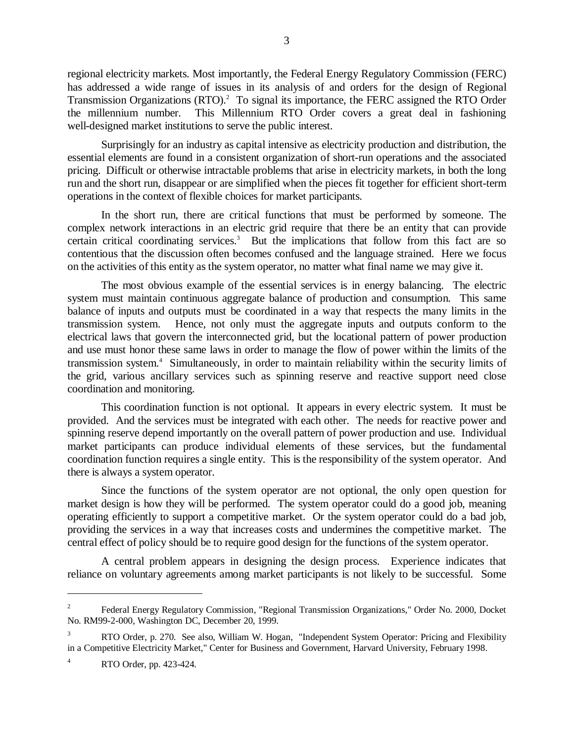regional electricity markets. Most importantly, the Federal Energy Regulatory Commission (FERC) has addressed a wide range of issues in its analysis of and orders for the design of Regional Transmission Organizations (RTO).<sup>2</sup> To signal its importance, the FERC assigned the RTO Order the millennium number. This Millennium RTO Order covers a great deal in fashioning well-designed market institutions to serve the public interest.

Surprisingly for an industry as capital intensive as electricity production and distribution, the essential elements are found in a consistent organization of short-run operations and the associated pricing. Difficult or otherwise intractable problems that arise in electricity markets, in both the long run and the short run, disappear or are simplified when the pieces fit together for efficient short-term operations in the context of flexible choices for market participants.

In the short run, there are critical functions that must be performed by someone. The complex network interactions in an electric grid require that there be an entity that can provide certain critical coordinating services.<sup>3</sup> But the implications that follow from this fact are so contentious that the discussion often becomes confused and the language strained. Here we focus on the activities of this entity as the system operator, no matter what final name we may give it.

The most obvious example of the essential services is in energy balancing. The electric system must maintain continuous aggregate balance of production and consumption. This same balance of inputs and outputs must be coordinated in a way that respects the many limits in the transmission system. Hence, not only must the aggregate inputs and outputs conform to the electrical laws that govern the interconnected grid, but the locational pattern of power production and use must honor these same laws in order to manage the flow of power within the limits of the transmission system.4 Simultaneously, in order to maintain reliability within the security limits of the grid, various ancillary services such as spinning reserve and reactive support need close coordination and monitoring.

This coordination function is not optional. It appears in every electric system. It must be provided. And the services must be integrated with each other. The needs for reactive power and spinning reserve depend importantly on the overall pattern of power production and use. Individual market participants can produce individual elements of these services, but the fundamental coordination function requires a single entity. This is the responsibility of the system operator. And there is always a system operator.

Since the functions of the system operator are not optional, the only open question for market design is how they will be performed. The system operator could do a good job, meaning operating efficiently to support a competitive market. Or the system operator could do a bad job, providing the services in a way that increases costs and undermines the competitive market. The central effect of policy should be to require good design for the functions of the system operator.

A central problem appears in designing the design process. Experience indicates that reliance on voluntary agreements among market participants is not likely to be successful. Some

<sup>&</sup>lt;sup>2</sup> Federal Energy Regulatory Commission, "Regional Transmission Organizations," Order No. 2000, Docket No. RM99-2-000, Washington DC, December 20, 1999.

<sup>&</sup>lt;sup>3</sup> RTO Order, p. 270. See also, William W. Hogan, "Independent System Operator: Pricing and Flexibility in a Competitive Electricity Market," Center for Business and Government, Harvard University, February 1998.

<sup>4</sup> RTO Order, pp. 423-424.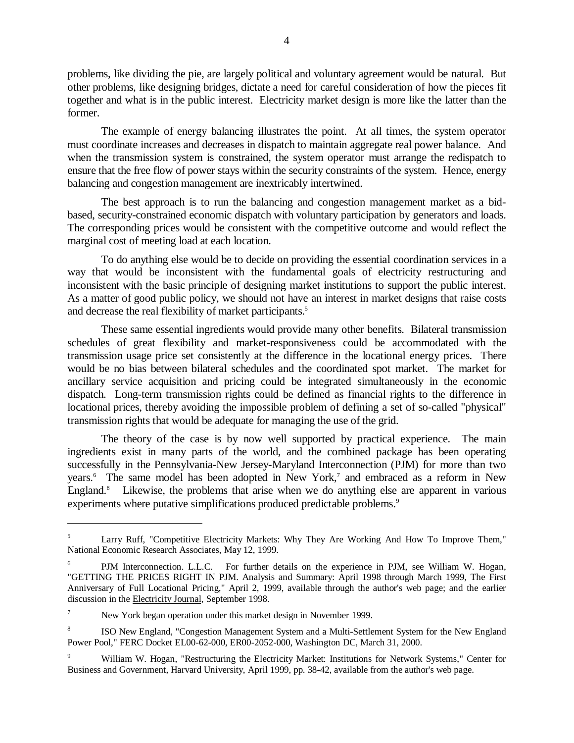problems, like dividing the pie, are largely political and voluntary agreement would be natural. But other problems, like designing bridges, dictate a need for careful consideration of how the pieces fit together and what is in the public interest. Electricity market design is more like the latter than the former.

The example of energy balancing illustrates the point. At all times, the system operator must coordinate increases and decreases in dispatch to maintain aggregate real power balance. And when the transmission system is constrained, the system operator must arrange the redispatch to ensure that the free flow of power stays within the security constraints of the system. Hence, energy balancing and congestion management are inextricably intertwined.

The best approach is to run the balancing and congestion management market as a bidbased, security-constrained economic dispatch with voluntary participation by generators and loads. The corresponding prices would be consistent with the competitive outcome and would reflect the marginal cost of meeting load at each location.

To do anything else would be to decide on providing the essential coordination services in a way that would be inconsistent with the fundamental goals of electricity restructuring and inconsistent with the basic principle of designing market institutions to support the public interest. As a matter of good public policy, we should not have an interest in market designs that raise costs and decrease the real flexibility of market participants.<sup>5</sup>

These same essential ingredients would provide many other benefits. Bilateral transmission schedules of great flexibility and market-responsiveness could be accommodated with the transmission usage price set consistently at the difference in the locational energy prices. There would be no bias between bilateral schedules and the coordinated spot market. The market for ancillary service acquisition and pricing could be integrated simultaneously in the economic dispatch. Long-term transmission rights could be defined as financial rights to the difference in locational prices, thereby avoiding the impossible problem of defining a set of so-called "physical" transmission rights that would be adequate for managing the use of the grid.

The theory of the case is by now well supported by practical experience. The main ingredients exist in many parts of the world, and the combined package has been operating successfully in the Pennsylvania-New Jersey-Maryland Interconnection (PJM) for more than two years.<sup>6</sup> The same model has been adopted in New York,<sup>7</sup> and embraced as a reform in New England.<sup>8</sup> Likewise, the problems that arise when we do anything else are apparent in various experiments where putative simplifications produced predictable problems.<sup>9</sup>

Larry Ruff, "Competitive Electricity Markets: Why They Are Working And How To Improve Them," National Economic Research Associates, May 12, 1999.

<sup>6</sup> PJM Interconnection. L.L.C. For further details on the experience in PJM, see William W. Hogan, "GETTING THE PRICES RIGHT IN PJM. Analysis and Summary: April 1998 through March 1999, The First Anniversary of Full Locational Pricing," April 2, 1999, available through the author's web page; and the earlier discussion in the Electricity Journal, September 1998.

<sup>7</sup> New York began operation under this market design in November 1999.

<sup>8</sup> ISO New England, "Congestion Management System and a Multi-Settlement System for the New England Power Pool," FERC Docket EL00-62-000, ER00-2052-000, Washington DC, March 31, 2000.

<sup>&</sup>lt;sup>9</sup> William W. Hogan, "Restructuring the Electricity Market: Institutions for Network Systems," Center for Business and Government, Harvard University, April 1999, pp. 38-42, available from the author's web page.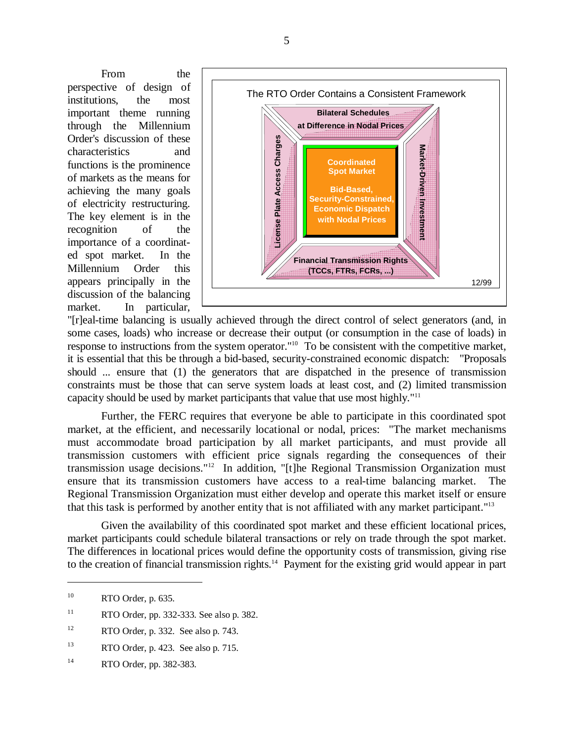From the perspective of design of institutions, the most important theme running through the Millennium Order's discussion of these characteristics and functions is the prominence of markets as the means for achieving the many goals of electricity restructuring. The key element is in the recognition of the importance of a coordinated spot market. In the Millennium Order this appears principally in the discussion of the balancing market. In particular,



"[r]eal-time balancing is usually achieved through the direct control of select generators (and, in some cases, loads) who increase or decrease their output (or consumption in the case of loads) in response to instructions from the system operator."10 To be consistent with the competitive market, it is essential that this be through a bid-based, security-constrained economic dispatch: "Proposals should ... ensure that (1) the generators that are dispatched in the presence of transmission constraints must be those that can serve system loads at least cost, and (2) limited transmission capacity should be used by market participants that value that use most highly."11

Further, the FERC requires that everyone be able to participate in this coordinated spot market, at the efficient, and necessarily locational or nodal, prices: "The market mechanisms must accommodate broad participation by all market participants, and must provide all transmission customers with efficient price signals regarding the consequences of their transmission usage decisions."12 In addition, "[t]he Regional Transmission Organization must ensure that its transmission customers have access to a real-time balancing market. The Regional Transmission Organization must either develop and operate this market itself or ensure that this task is performed by another entity that is not affiliated with any market participant."13

Given the availability of this coordinated spot market and these efficient locational prices, market participants could schedule bilateral transactions or rely on trade through the spot market. The differences in locational prices would define the opportunity costs of transmission, giving rise to the creation of financial transmission rights.<sup>14</sup> Payment for the existing grid would appear in part

 $\overline{a}$ 

<sup>11</sup> RTO Order, pp. 332-333. See also p. 382.

<sup>14</sup> RTO Order, pp. 382-383.

 $\,$ <sup>10</sup> RTO Order, p. 635.

<sup>&</sup>lt;sup>12</sup> RTO Order, p. 332. See also p. 743.

<sup>&</sup>lt;sup>13</sup> RTO Order, p. 423. See also p. 715.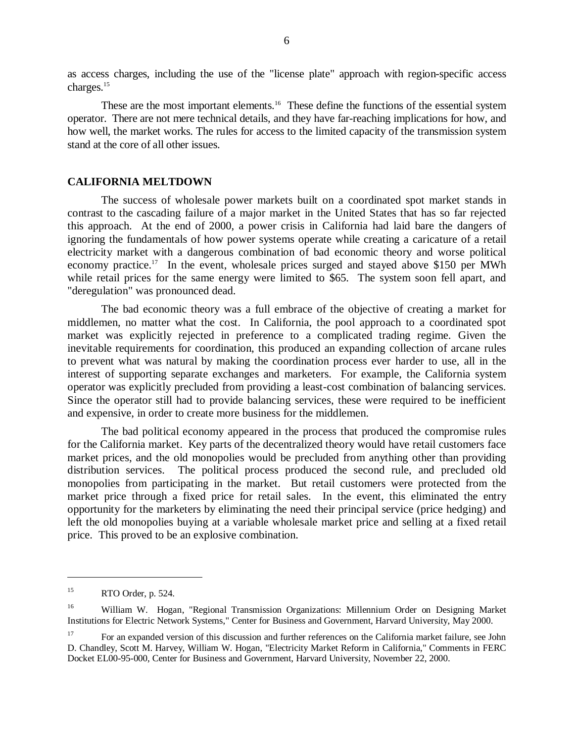as access charges, including the use of the "license plate" approach with region-specific access charges.<sup>15</sup>

These are the most important elements.<sup>16</sup> These define the functions of the essential system operator. There are not mere technical details, and they have far-reaching implications for how, and how well, the market works. The rules for access to the limited capacity of the transmission system stand at the core of all other issues.

### **CALIFORNIA MELTDOWN**

The success of wholesale power markets built on a coordinated spot market stands in contrast to the cascading failure of a major market in the United States that has so far rejected this approach. At the end of 2000, a power crisis in California had laid bare the dangers of ignoring the fundamentals of how power systems operate while creating a caricature of a retail electricity market with a dangerous combination of bad economic theory and worse political economy practice.<sup>17</sup> In the event, wholesale prices surged and stayed above \$150 per MWh while retail prices for the same energy were limited to \$65. The system soon fell apart, and "deregulation" was pronounced dead.

The bad economic theory was a full embrace of the objective of creating a market for middlemen, no matter what the cost. In California, the pool approach to a coordinated spot market was explicitly rejected in preference to a complicated trading regime. Given the inevitable requirements for coordination, this produced an expanding collection of arcane rules to prevent what was natural by making the coordination process ever harder to use, all in the interest of supporting separate exchanges and marketers. For example, the California system operator was explicitly precluded from providing a least-cost combination of balancing services. Since the operator still had to provide balancing services, these were required to be inefficient and expensive, in order to create more business for the middlemen.

The bad political economy appeared in the process that produced the compromise rules for the California market. Key parts of the decentralized theory would have retail customers face market prices, and the old monopolies would be precluded from anything other than providing distribution services. The political process produced the second rule, and precluded old monopolies from participating in the market. But retail customers were protected from the market price through a fixed price for retail sales. In the event, this eliminated the entry opportunity for the marketers by eliminating the need their principal service (price hedging) and left the old monopolies buying at a variable wholesale market price and selling at a fixed retail price. This proved to be an explosive combination.

<sup>15</sup> RTO Order, p. 524.

<sup>&</sup>lt;sup>16</sup> William W. Hogan, "Regional Transmission Organizations: Millennium Order on Designing Market Institutions for Electric Network Systems," Center for Business and Government, Harvard University, May 2000.

<sup>&</sup>lt;sup>17</sup> For an expanded version of this discussion and further references on the California market failure, see John D. Chandley, Scott M. Harvey, William W. Hogan, "Electricity Market Reform in California," Comments in FERC Docket EL00-95-000, Center for Business and Government, Harvard University, November 22, 2000.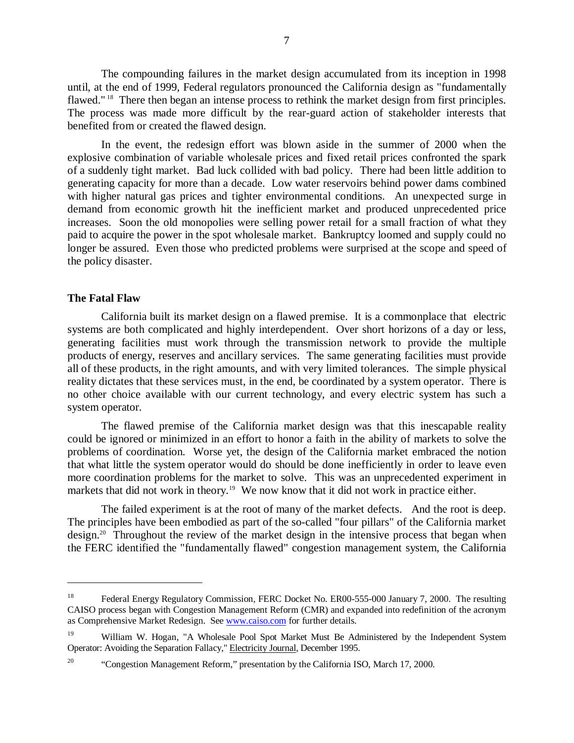The compounding failures in the market design accumulated from its inception in 1998 until, at the end of 1999, Federal regulators pronounced the California design as "fundamentally flawed." <sup>18</sup> There then began an intense process to rethink the market design from first principles. The process was made more difficult by the rear-guard action of stakeholder interests that benefited from or created the flawed design.

In the event, the redesign effort was blown aside in the summer of 2000 when the explosive combination of variable wholesale prices and fixed retail prices confronted the spark of a suddenly tight market. Bad luck collided with bad policy. There had been little addition to generating capacity for more than a decade. Low water reservoirs behind power dams combined with higher natural gas prices and tighter environmental conditions. An unexpected surge in demand from economic growth hit the inefficient market and produced unprecedented price increases. Soon the old monopolies were selling power retail for a small fraction of what they paid to acquire the power in the spot wholesale market. Bankruptcy loomed and supply could no longer be assured. Even those who predicted problems were surprised at the scope and speed of the policy disaster.

### **The Fatal Flaw**

 $\overline{a}$ 

California built its market design on a flawed premise. It is a commonplace that electric systems are both complicated and highly interdependent. Over short horizons of a day or less, generating facilities must work through the transmission network to provide the multiple products of energy, reserves and ancillary services. The same generating facilities must provide all of these products, in the right amounts, and with very limited tolerances. The simple physical reality dictates that these services must, in the end, be coordinated by a system operator. There is no other choice available with our current technology, and every electric system has such a system operator.

The flawed premise of the California market design was that this inescapable reality could be ignored or minimized in an effort to honor a faith in the ability of markets to solve the problems of coordination. Worse yet, the design of the California market embraced the notion that what little the system operator would do should be done inefficiently in order to leave even more coordination problems for the market to solve. This was an unprecedented experiment in markets that did not work in theory.<sup>19</sup> We now know that it did not work in practice either.

The failed experiment is at the root of many of the market defects. And the root is deep. The principles have been embodied as part of the so-called "four pillars" of the California market design.<sup>20</sup> Throughout the review of the market design in the intensive process that began when the FERC identified the "fundamentally flawed" congestion management system, the California

<sup>&</sup>lt;sup>18</sup> Federal Energy Regulatory Commission, FERC Docket No. ER00-555-000 January 7, 2000. The resulting CAISO process began with Congestion Management Reform (CMR) and expanded into redefinition of the acronym as Comprehensive Market Redesign. See www.caiso.com for further details.

<sup>&</sup>lt;sup>19</sup> William W. Hogan, "A Wholesale Pool Spot Market Must Be Administered by the Independent System Operator: Avoiding the Separation Fallacy," Electricity Journal, December 1995.

<sup>&</sup>lt;sup>20</sup> "Congestion Management Reform," presentation by the California ISO, March 17, 2000.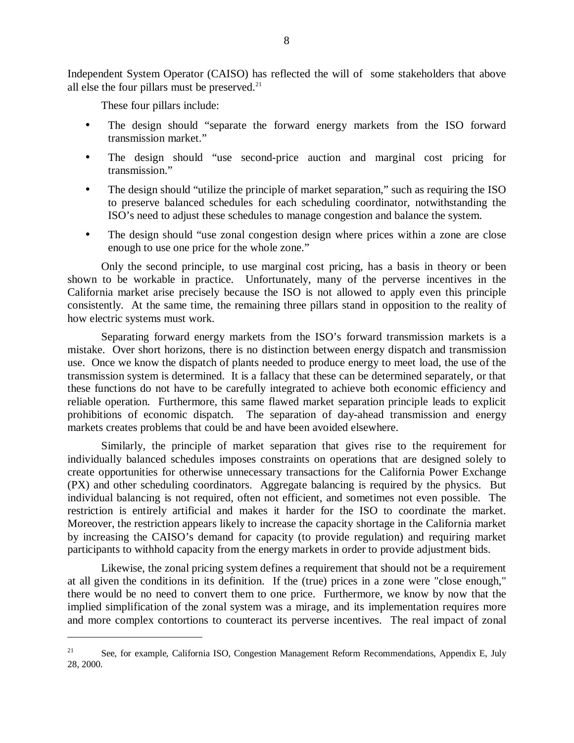Independent System Operator (CAISO) has reflected the will of some stakeholders that above all else the four pillars must be preserved.<sup>21</sup>

These four pillars include:

 $\overline{a}$ 

- The design should "separate the forward energy markets from the ISO forward transmission market."
- The design should "use second-price auction and marginal cost pricing for transmission."
- The design should "utilize the principle of market separation," such as requiring the ISO to preserve balanced schedules for each scheduling coordinator, notwithstanding the ISO's need to adjust these schedules to manage congestion and balance the system.
- The design should "use zonal congestion design where prices within a zone are close enough to use one price for the whole zone."

Only the second principle, to use marginal cost pricing, has a basis in theory or been shown to be workable in practice. Unfortunately, many of the perverse incentives in the California market arise precisely because the ISO is not allowed to apply even this principle consistently. At the same time, the remaining three pillars stand in opposition to the reality of how electric systems must work.

Separating forward energy markets from the ISO's forward transmission markets is a mistake. Over short horizons, there is no distinction between energy dispatch and transmission use. Once we know the dispatch of plants needed to produce energy to meet load, the use of the transmission system is determined. It is a fallacy that these can be determined separately, or that these functions do not have to be carefully integrated to achieve both economic efficiency and reliable operation. Furthermore, this same flawed market separation principle leads to explicit prohibitions of economic dispatch. The separation of day-ahead transmission and energy markets creates problems that could be and have been avoided elsewhere.

Similarly, the principle of market separation that gives rise to the requirement for individually balanced schedules imposes constraints on operations that are designed solely to create opportunities for otherwise unnecessary transactions for the California Power Exchange (PX) and other scheduling coordinators. Aggregate balancing is required by the physics. But individual balancing is not required, often not efficient, and sometimes not even possible. The restriction is entirely artificial and makes it harder for the ISO to coordinate the market. Moreover, the restriction appears likely to increase the capacity shortage in the California market by increasing the CAISO's demand for capacity (to provide regulation) and requiring market participants to withhold capacity from the energy markets in order to provide adjustment bids.

Likewise, the zonal pricing system defines a requirement that should not be a requirement at all given the conditions in its definition. If the (true) prices in a zone were "close enough," there would be no need to convert them to one price. Furthermore, we know by now that the implied simplification of the zonal system was a mirage, and its implementation requires more and more complex contortions to counteract its perverse incentives. The real impact of zonal

<sup>&</sup>lt;sup>21</sup> See, for example, California ISO, Congestion Management Reform Recommendations, Appendix E, July 28, 2000.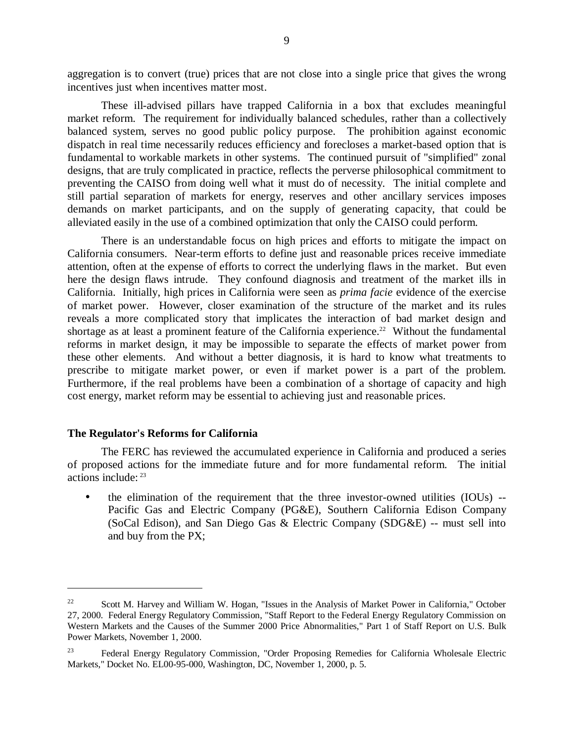aggregation is to convert (true) prices that are not close into a single price that gives the wrong incentives just when incentives matter most.

These ill-advised pillars have trapped California in a box that excludes meaningful market reform. The requirement for individually balanced schedules, rather than a collectively balanced system, serves no good public policy purpose. The prohibition against economic dispatch in real time necessarily reduces efficiency and forecloses a market-based option that is fundamental to workable markets in other systems. The continued pursuit of "simplified" zonal designs, that are truly complicated in practice, reflects the perverse philosophical commitment to preventing the CAISO from doing well what it must do of necessity. The initial complete and still partial separation of markets for energy, reserves and other ancillary services imposes demands on market participants, and on the supply of generating capacity, that could be alleviated easily in the use of a combined optimization that only the CAISO could perform.

There is an understandable focus on high prices and efforts to mitigate the impact on California consumers. Near-term efforts to define just and reasonable prices receive immediate attention, often at the expense of efforts to correct the underlying flaws in the market. But even here the design flaws intrude. They confound diagnosis and treatment of the market ills in California. Initially, high prices in California were seen as *prima facie* evidence of the exercise of market power. However, closer examination of the structure of the market and its rules reveals a more complicated story that implicates the interaction of bad market design and shortage as at least a prominent feature of the California experience.<sup>22</sup> Without the fundamental reforms in market design, it may be impossible to separate the effects of market power from these other elements. And without a better diagnosis, it is hard to know what treatments to prescribe to mitigate market power, or even if market power is a part of the problem. Furthermore, if the real problems have been a combination of a shortage of capacity and high cost energy, market reform may be essential to achieving just and reasonable prices.

### **The Regulator's Reforms for California**

 $\overline{a}$ 

The FERC has reviewed the accumulated experience in California and produced a series of proposed actions for the immediate future and for more fundamental reform. The initial actions include: 23

• the elimination of the requirement that the three investor-owned utilities (IOUs) -- Pacific Gas and Electric Company (PG&E), Southern California Edison Company (SoCal Edison), and San Diego Gas & Electric Company (SDG&E) -- must sell into and buy from the PX;

<sup>&</sup>lt;sup>22</sup> Scott M. Harvey and William W. Hogan, "Issues in the Analysis of Market Power in California," October 27, 2000. Federal Energy Regulatory Commission, "Staff Report to the Federal Energy Regulatory Commission on Western Markets and the Causes of the Summer 2000 Price Abnormalities," Part 1 of Staff Report on U.S. Bulk Power Markets, November 1, 2000.

<sup>&</sup>lt;sup>23</sup> Federal Energy Regulatory Commission, "Order Proposing Remedies for California Wholesale Electric Markets," Docket No. EL00-95-000, Washington, DC, November 1, 2000, p. 5.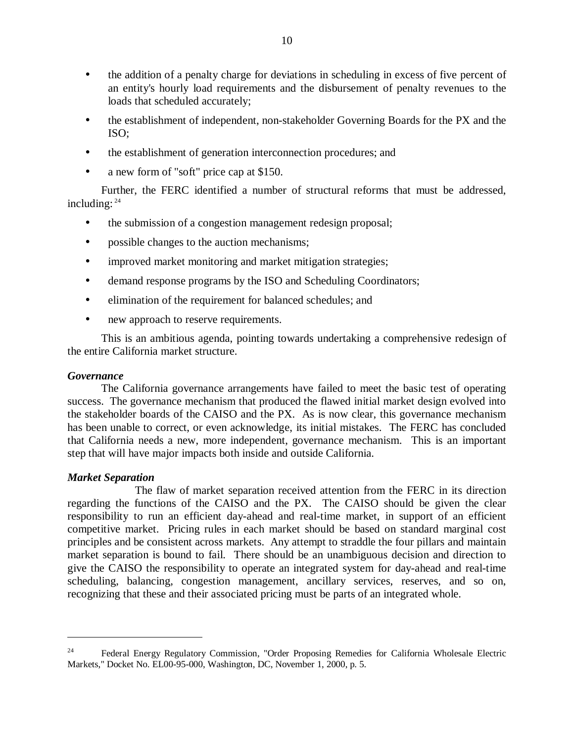- the addition of a penalty charge for deviations in scheduling in excess of five percent of an entity's hourly load requirements and the disbursement of penalty revenues to the loads that scheduled accurately;
- the establishment of independent, non-stakeholder Governing Boards for the PX and the ISO;
- the establishment of generation interconnection procedures; and
- a new form of "soft" price cap at \$150.

Further, the FERC identified a number of structural reforms that must be addressed, including: 24

- the submission of a congestion management redesign proposal;
- possible changes to the auction mechanisms;
- improved market monitoring and market mitigation strategies;
- demand response programs by the ISO and Scheduling Coordinators;
- elimination of the requirement for balanced schedules; and
- new approach to reserve requirements.

This is an ambitious agenda, pointing towards undertaking a comprehensive redesign of the entire California market structure.

### *Governance*

The California governance arrangements have failed to meet the basic test of operating success. The governance mechanism that produced the flawed initial market design evolved into the stakeholder boards of the CAISO and the PX. As is now clear, this governance mechanism has been unable to correct, or even acknowledge, its initial mistakes. The FERC has concluded that California needs a new, more independent, governance mechanism. This is an important step that will have major impacts both inside and outside California.

### *Market Separation*

 $\overline{a}$ 

The flaw of market separation received attention from the FERC in its direction regarding the functions of the CAISO and the PX. The CAISO should be given the clear responsibility to run an efficient day-ahead and real-time market, in support of an efficient competitive market. Pricing rules in each market should be based on standard marginal cost principles and be consistent across markets. Any attempt to straddle the four pillars and maintain market separation is bound to fail. There should be an unambiguous decision and direction to give the CAISO the responsibility to operate an integrated system for day-ahead and real-time scheduling, balancing, congestion management, ancillary services, reserves, and so on, recognizing that these and their associated pricing must be parts of an integrated whole.

<sup>&</sup>lt;sup>24</sup> Federal Energy Regulatory Commission, "Order Proposing Remedies for California Wholesale Electric Markets," Docket No. EL00-95-000, Washington, DC, November 1, 2000, p. 5.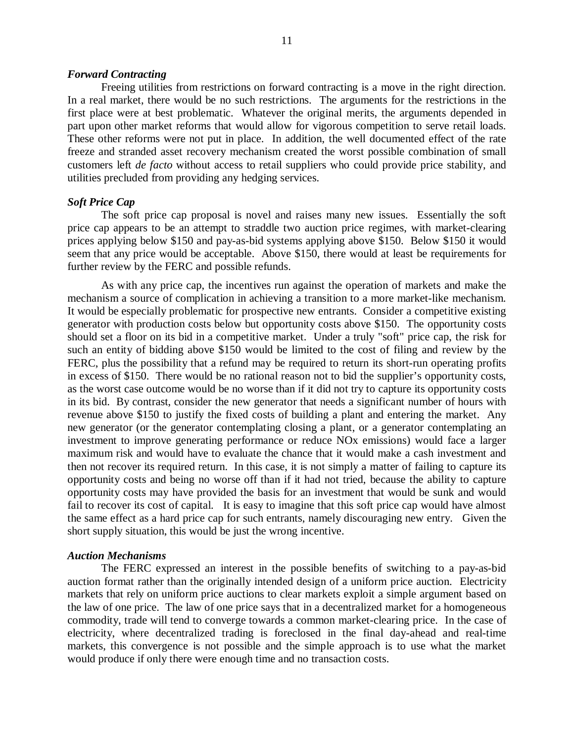### *Forward Contracting*

Freeing utilities from restrictions on forward contracting is a move in the right direction. In a real market, there would be no such restrictions. The arguments for the restrictions in the first place were at best problematic. Whatever the original merits, the arguments depended in part upon other market reforms that would allow for vigorous competition to serve retail loads. These other reforms were not put in place. In addition, the well documented effect of the rate freeze and stranded asset recovery mechanism created the worst possible combination of small customers left *de facto* without access to retail suppliers who could provide price stability, and utilities precluded from providing any hedging services.

### *Soft Price Cap*

The soft price cap proposal is novel and raises many new issues. Essentially the soft price cap appears to be an attempt to straddle two auction price regimes, with market-clearing prices applying below \$150 and pay-as-bid systems applying above \$150. Below \$150 it would seem that any price would be acceptable. Above \$150, there would at least be requirements for further review by the FERC and possible refunds.

As with any price cap, the incentives run against the operation of markets and make the mechanism a source of complication in achieving a transition to a more market-like mechanism. It would be especially problematic for prospective new entrants. Consider a competitive existing generator with production costs below but opportunity costs above \$150. The opportunity costs should set a floor on its bid in a competitive market. Under a truly "soft" price cap, the risk for such an entity of bidding above \$150 would be limited to the cost of filing and review by the FERC, plus the possibility that a refund may be required to return its short-run operating profits in excess of \$150. There would be no rational reason not to bid the supplier's opportunity costs, as the worst case outcome would be no worse than if it did not try to capture its opportunity costs in its bid. By contrast, consider the new generator that needs a significant number of hours with revenue above \$150 to justify the fixed costs of building a plant and entering the market. Any new generator (or the generator contemplating closing a plant, or a generator contemplating an investment to improve generating performance or reduce NOx emissions) would face a larger maximum risk and would have to evaluate the chance that it would make a cash investment and then not recover its required return. In this case, it is not simply a matter of failing to capture its opportunity costs and being no worse off than if it had not tried, because the ability to capture opportunity costs may have provided the basis for an investment that would be sunk and would fail to recover its cost of capital. It is easy to imagine that this soft price cap would have almost the same effect as a hard price cap for such entrants, namely discouraging new entry. Given the short supply situation, this would be just the wrong incentive.

#### *Auction Mechanisms*

The FERC expressed an interest in the possible benefits of switching to a pay-as-bid auction format rather than the originally intended design of a uniform price auction. Electricity markets that rely on uniform price auctions to clear markets exploit a simple argument based on the law of one price. The law of one price says that in a decentralized market for a homogeneous commodity, trade will tend to converge towards a common market-clearing price. In the case of electricity, where decentralized trading is foreclosed in the final day-ahead and real-time markets, this convergence is not possible and the simple approach is to use what the market would produce if only there were enough time and no transaction costs.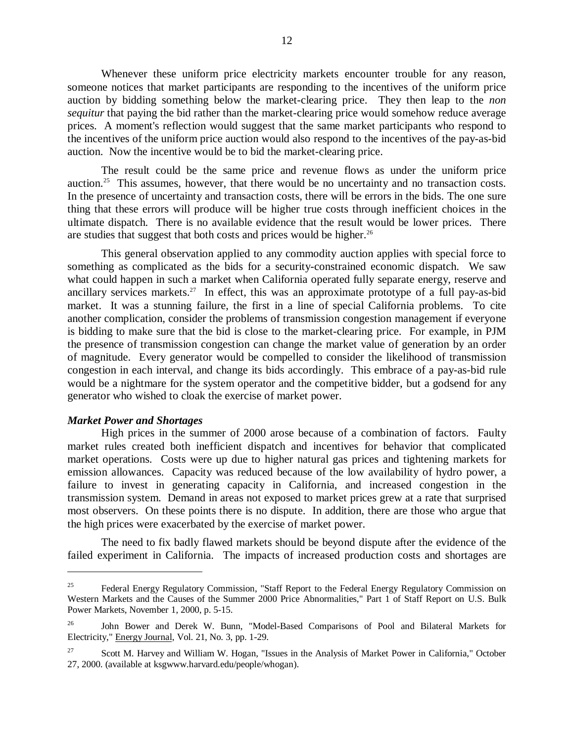Whenever these uniform price electricity markets encounter trouble for any reason, someone notices that market participants are responding to the incentives of the uniform price auction by bidding something below the market-clearing price. They then leap to the *non sequitur* that paying the bid rather than the market-clearing price would somehow reduce average prices. A moment's reflection would suggest that the same market participants who respond to the incentives of the uniform price auction would also respond to the incentives of the pay-as-bid auction. Now the incentive would be to bid the market-clearing price.

The result could be the same price and revenue flows as under the uniform price auction.25 This assumes, however, that there would be no uncertainty and no transaction costs. In the presence of uncertainty and transaction costs, there will be errors in the bids. The one sure thing that these errors will produce will be higher true costs through inefficient choices in the ultimate dispatch. There is no available evidence that the result would be lower prices. There are studies that suggest that both costs and prices would be higher.<sup>26</sup>

This general observation applied to any commodity auction applies with special force to something as complicated as the bids for a security-constrained economic dispatch. We saw what could happen in such a market when California operated fully separate energy, reserve and ancillary services markets.<sup>27</sup> In effect, this was an approximate prototype of a full pay-as-bid market. It was a stunning failure, the first in a line of special California problems. To cite another complication, consider the problems of transmission congestion management if everyone is bidding to make sure that the bid is close to the market-clearing price. For example, in PJM the presence of transmission congestion can change the market value of generation by an order of magnitude. Every generator would be compelled to consider the likelihood of transmission congestion in each interval, and change its bids accordingly. This embrace of a pay-as-bid rule would be a nightmare for the system operator and the competitive bidder, but a godsend for any generator who wished to cloak the exercise of market power.

#### *Market Power and Shortages*

 $\overline{a}$ 

High prices in the summer of 2000 arose because of a combination of factors. Faulty market rules created both inefficient dispatch and incentives for behavior that complicated market operations. Costs were up due to higher natural gas prices and tightening markets for emission allowances. Capacity was reduced because of the low availability of hydro power, a failure to invest in generating capacity in California, and increased congestion in the transmission system. Demand in areas not exposed to market prices grew at a rate that surprised most observers. On these points there is no dispute. In addition, there are those who argue that the high prices were exacerbated by the exercise of market power.

The need to fix badly flawed markets should be beyond dispute after the evidence of the failed experiment in California. The impacts of increased production costs and shortages are

<sup>&</sup>lt;sup>25</sup> Federal Energy Regulatory Commission, "Staff Report to the Federal Energy Regulatory Commission on Western Markets and the Causes of the Summer 2000 Price Abnormalities," Part 1 of Staff Report on U.S. Bulk Power Markets, November 1, 2000, p. 5-15.

<sup>26</sup> John Bower and Derek W. Bunn, "Model-Based Comparisons of Pool and Bilateral Markets for Electricity," Energy Journal, Vol. 21, No. 3, pp. 1-29.

<sup>&</sup>lt;sup>27</sup> Scott M. Harvey and William W. Hogan, "Issues in the Analysis of Market Power in California," October 27, 2000. (available at ksgwww.harvard.edu/people/whogan).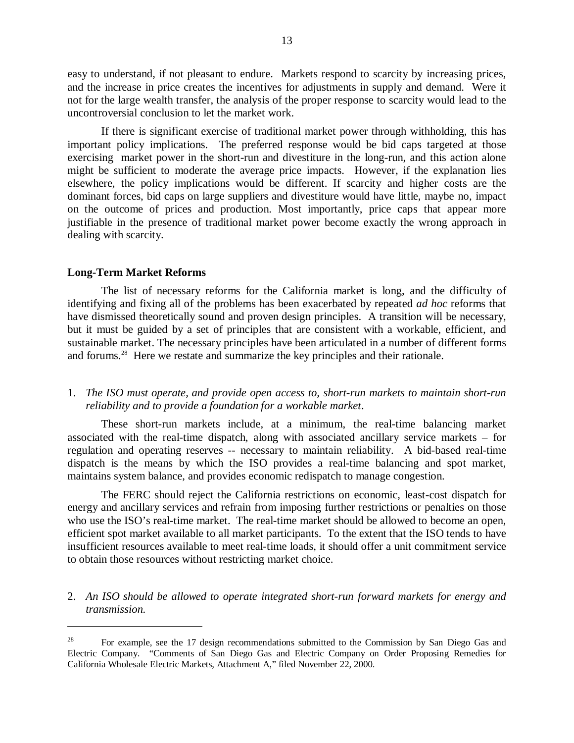easy to understand, if not pleasant to endure. Markets respond to scarcity by increasing prices, and the increase in price creates the incentives for adjustments in supply and demand. Were it not for the large wealth transfer, the analysis of the proper response to scarcity would lead to the uncontroversial conclusion to let the market work.

If there is significant exercise of traditional market power through withholding, this has important policy implications. The preferred response would be bid caps targeted at those exercising market power in the short-run and divestiture in the long-run, and this action alone might be sufficient to moderate the average price impacts. However, if the explanation lies elsewhere, the policy implications would be different. If scarcity and higher costs are the dominant forces, bid caps on large suppliers and divestiture would have little, maybe no, impact on the outcome of prices and production. Most importantly, price caps that appear more justifiable in the presence of traditional market power become exactly the wrong approach in dealing with scarcity.

#### **Long-Term Market Reforms**

 $\overline{a}$ 

The list of necessary reforms for the California market is long, and the difficulty of identifying and fixing all of the problems has been exacerbated by repeated *ad hoc* reforms that have dismissed theoretically sound and proven design principles. A transition will be necessary, but it must be guided by a set of principles that are consistent with a workable, efficient, and sustainable market. The necessary principles have been articulated in a number of different forms and forums.28 Here we restate and summarize the key principles and their rationale.

1. *The ISO must operate, and provide open access to, short-run markets to maintain short-run reliability and to provide a foundation for a workable market*.

These short-run markets include, at a minimum, the real-time balancing market associated with the real-time dispatch, along with associated ancillary service markets – for regulation and operating reserves -- necessary to maintain reliability. A bid-based real-time dispatch is the means by which the ISO provides a real-time balancing and spot market, maintains system balance, and provides economic redispatch to manage congestion.

The FERC should reject the California restrictions on economic, least-cost dispatch for energy and ancillary services and refrain from imposing further restrictions or penalties on those who use the ISO's real-time market. The real-time market should be allowed to become an open, efficient spot market available to all market participants. To the extent that the ISO tends to have insufficient resources available to meet real-time loads, it should offer a unit commitment service to obtain those resources without restricting market choice.

### 2. *An ISO should be allowed to operate integrated short-run forward markets for energy and transmission.*

<sup>&</sup>lt;sup>28</sup> For example, see the 17 design recommendations submitted to the Commission by San Diego Gas and Electric Company. "Comments of San Diego Gas and Electric Company on Order Proposing Remedies for California Wholesale Electric Markets, Attachment A," filed November 22, 2000.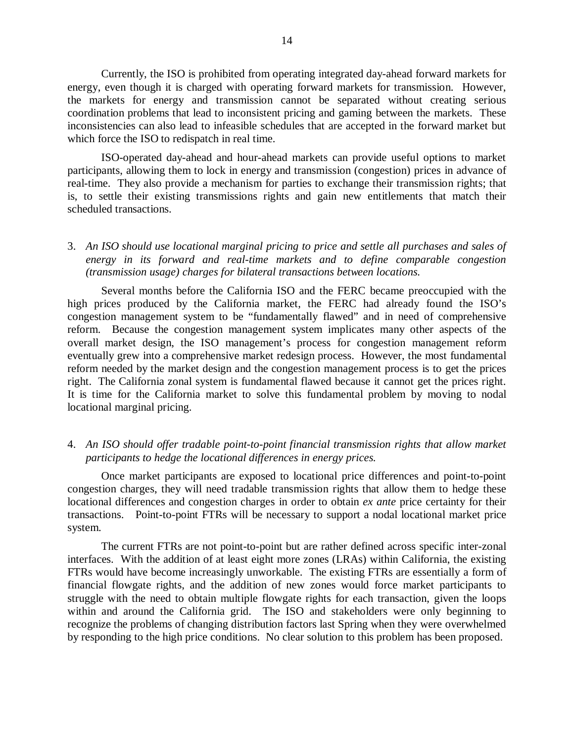Currently, the ISO is prohibited from operating integrated day-ahead forward markets for energy, even though it is charged with operating forward markets for transmission. However, the markets for energy and transmission cannot be separated without creating serious coordination problems that lead to inconsistent pricing and gaming between the markets. These inconsistencies can also lead to infeasible schedules that are accepted in the forward market but which force the ISO to redispatch in real time.

ISO-operated day-ahead and hour-ahead markets can provide useful options to market participants, allowing them to lock in energy and transmission (congestion) prices in advance of real-time. They also provide a mechanism for parties to exchange their transmission rights; that is, to settle their existing transmissions rights and gain new entitlements that match their scheduled transactions.

### 3. *An ISO should use locational marginal pricing to price and settle all purchases and sales of energy in its forward and real-time markets and to define comparable congestion (transmission usage) charges for bilateral transactions between locations.*

Several months before the California ISO and the FERC became preoccupied with the high prices produced by the California market, the FERC had already found the ISO's congestion management system to be "fundamentally flawed" and in need of comprehensive reform. Because the congestion management system implicates many other aspects of the overall market design, the ISO management's process for congestion management reform eventually grew into a comprehensive market redesign process. However, the most fundamental reform needed by the market design and the congestion management process is to get the prices right. The California zonal system is fundamental flawed because it cannot get the prices right. It is time for the California market to solve this fundamental problem by moving to nodal locational marginal pricing.

### 4. *An ISO should offer tradable point-to-point financial transmission rights that allow market participants to hedge the locational differences in energy prices.*

Once market participants are exposed to locational price differences and point-to-point congestion charges, they will need tradable transmission rights that allow them to hedge these locational differences and congestion charges in order to obtain *ex ante* price certainty for their transactions. Point-to-point FTRs will be necessary to support a nodal locational market price system.

 The current FTRs are not point-to-point but are rather defined across specific inter-zonal interfaces. With the addition of at least eight more zones (LRAs) within California, the existing FTRs would have become increasingly unworkable. The existing FTRs are essentially a form of financial flowgate rights, and the addition of new zones would force market participants to struggle with the need to obtain multiple flowgate rights for each transaction, given the loops within and around the California grid. The ISO and stakeholders were only beginning to recognize the problems of changing distribution factors last Spring when they were overwhelmed by responding to the high price conditions. No clear solution to this problem has been proposed.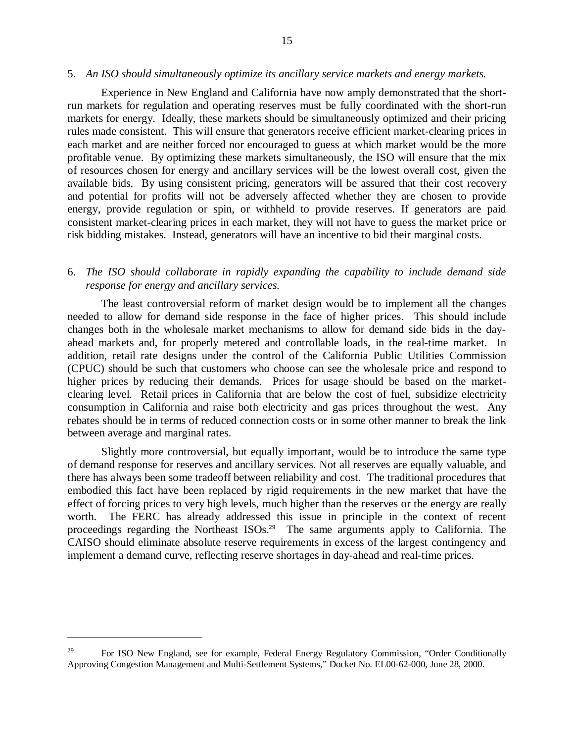### 5. *An ISO should simultaneously optimize its ancillary service markets and energy markets.*

Experience in New England and California have now amply demonstrated that the shortrun markets for regulation and operating reserves must be fully coordinated with the short-run markets for energy. Ideally, these markets should be simultaneously optimized and their pricing rules made consistent. This will ensure that generators receive efficient market-clearing prices in each market and are neither forced nor encouraged to guess at which market would be the more profitable venue. By optimizing these markets simultaneously, the ISO will ensure that the mix of resources chosen for energy and ancillary services will be the lowest overall cost, given the available bids. By using consistent pricing, generators will be assured that their cost recovery and potential for profits will not be adversely affected whether they are chosen to provide energy, provide regulation or spin, or withheld to provide reserves. If generators are paid consistent market-clearing prices in each market, they will not have to guess the market price or risk bidding mistakes. Instead, generators will have an incentive to bid their marginal costs.

### 6. *The ISO should collaborate in rapidly expanding the capability to include demand side response for energy and ancillary services.*

The least controversial reform of market design would be to implement all the changes needed to allow for demand side response in the face of higher prices. This should include changes both in the wholesale market mechanisms to allow for demand side bids in the dayahead markets and, for properly metered and controllable loads, in the real-time market. In addition, retail rate designs under the control of the California Public Utilities Commission (CPUC) should be such that customers who choose can see the wholesale price and respond to higher prices by reducing their demands. Prices for usage should be based on the marketclearing level. Retail prices in California that are below the cost of fuel, subsidize electricity consumption in California and raise both electricity and gas prices throughout the west. Any rebates should be in terms of reduced connection costs or in some other manner to break the link between average and marginal rates.

Slightly more controversial, but equally important, would be to introduce the same type of demand response for reserves and ancillary services. Not all reserves are equally valuable, and there has always been some tradeoff between reliability and cost. The traditional procedures that embodied this fact have been replaced by rigid requirements in the new market that have the effect of forcing prices to very high levels, much higher than the reserves or the energy are really worth. The FERC has already addressed this issue in principle in the context of recent proceedings regarding the Northeast ISOs.<sup>29</sup> The same arguments apply to California. The CAISO should eliminate absolute reserve requirements in excess of the largest contingency and implement a demand curve, reflecting reserve shortages in day-ahead and real-time prices.

<sup>&</sup>lt;sup>29</sup> For ISO New England, see for example, Federal Energy Regulatory Commission, "Order Conditionally Approving Congestion Management and Multi-Settlement Systems," Docket No. EL00-62-000, June 28, 2000.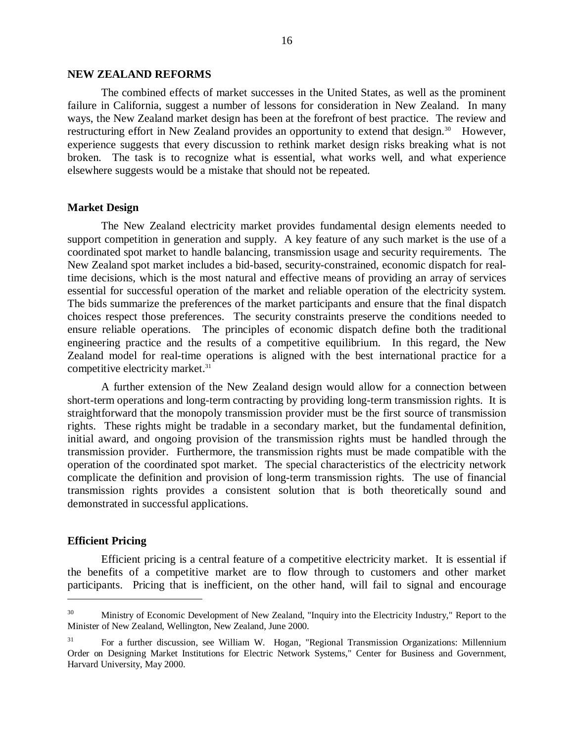### **NEW ZEALAND REFORMS**

The combined effects of market successes in the United States, as well as the prominent failure in California, suggest a number of lessons for consideration in New Zealand. In many ways, the New Zealand market design has been at the forefront of best practice. The review and restructuring effort in New Zealand provides an opportunity to extend that design.<sup>30</sup> However, experience suggests that every discussion to rethink market design risks breaking what is not broken. The task is to recognize what is essential, what works well, and what experience elsewhere suggests would be a mistake that should not be repeated.

### **Market Design**

The New Zealand electricity market provides fundamental design elements needed to support competition in generation and supply. A key feature of any such market is the use of a coordinated spot market to handle balancing, transmission usage and security requirements. The New Zealand spot market includes a bid-based, security-constrained, economic dispatch for realtime decisions, which is the most natural and effective means of providing an array of services essential for successful operation of the market and reliable operation of the electricity system. The bids summarize the preferences of the market participants and ensure that the final dispatch choices respect those preferences. The security constraints preserve the conditions needed to ensure reliable operations. The principles of economic dispatch define both the traditional engineering practice and the results of a competitive equilibrium. In this regard, the New Zealand model for real-time operations is aligned with the best international practice for a competitive electricity market.<sup>31</sup>

A further extension of the New Zealand design would allow for a connection between short-term operations and long-term contracting by providing long-term transmission rights. It is straightforward that the monopoly transmission provider must be the first source of transmission rights. These rights might be tradable in a secondary market, but the fundamental definition, initial award, and ongoing provision of the transmission rights must be handled through the transmission provider. Furthermore, the transmission rights must be made compatible with the operation of the coordinated spot market. The special characteristics of the electricity network complicate the definition and provision of long-term transmission rights. The use of financial transmission rights provides a consistent solution that is both theoretically sound and demonstrated in successful applications.

### **Efficient Pricing**

 $\overline{a}$ 

Efficient pricing is a central feature of a competitive electricity market. It is essential if the benefits of a competitive market are to flow through to customers and other market participants. Pricing that is inefficient, on the other hand, will fail to signal and encourage

<sup>30</sup> Ministry of Economic Development of New Zealand, "Inquiry into the Electricity Industry," Report to the Minister of New Zealand, Wellington, New Zealand, June 2000.

<sup>&</sup>lt;sup>31</sup> For a further discussion, see William W. Hogan, "Regional Transmission Organizations: Millennium Order on Designing Market Institutions for Electric Network Systems," Center for Business and Government, Harvard University, May 2000.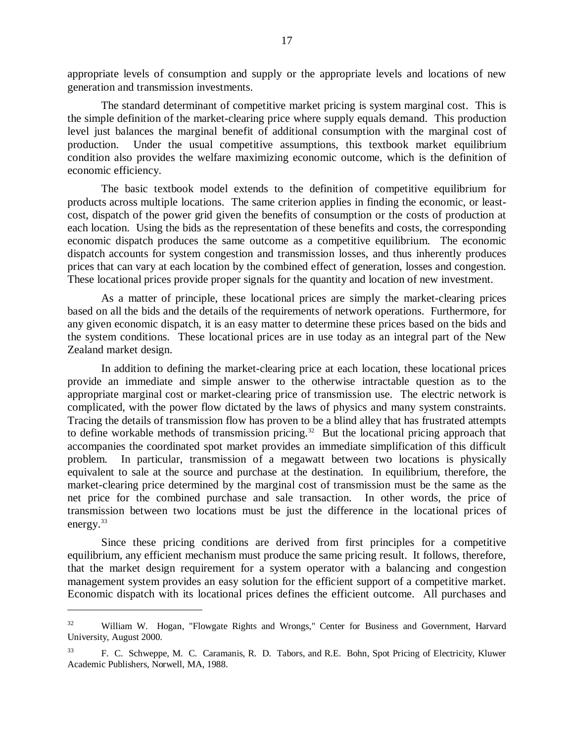appropriate levels of consumption and supply or the appropriate levels and locations of new generation and transmission investments.

The standard determinant of competitive market pricing is system marginal cost. This is the simple definition of the market-clearing price where supply equals demand. This production level just balances the marginal benefit of additional consumption with the marginal cost of production. Under the usual competitive assumptions, this textbook market equilibrium condition also provides the welfare maximizing economic outcome, which is the definition of economic efficiency.

The basic textbook model extends to the definition of competitive equilibrium for products across multiple locations. The same criterion applies in finding the economic, or leastcost, dispatch of the power grid given the benefits of consumption or the costs of production at each location. Using the bids as the representation of these benefits and costs, the corresponding economic dispatch produces the same outcome as a competitive equilibrium. The economic dispatch accounts for system congestion and transmission losses, and thus inherently produces prices that can vary at each location by the combined effect of generation, losses and congestion. These locational prices provide proper signals for the quantity and location of new investment.

As a matter of principle, these locational prices are simply the market-clearing prices based on all the bids and the details of the requirements of network operations. Furthermore, for any given economic dispatch, it is an easy matter to determine these prices based on the bids and the system conditions. These locational prices are in use today as an integral part of the New Zealand market design.

In addition to defining the market-clearing price at each location, these locational prices provide an immediate and simple answer to the otherwise intractable question as to the appropriate marginal cost or market-clearing price of transmission use. The electric network is complicated, with the power flow dictated by the laws of physics and many system constraints. Tracing the details of transmission flow has proven to be a blind alley that has frustrated attempts to define workable methods of transmission pricing.<sup>32</sup> But the locational pricing approach that accompanies the coordinated spot market provides an immediate simplification of this difficult problem. In particular, transmission of a megawatt between two locations is physically equivalent to sale at the source and purchase at the destination. In equilibrium, therefore, the market-clearing price determined by the marginal cost of transmission must be the same as the net price for the combined purchase and sale transaction. In other words, the price of transmission between two locations must be just the difference in the locational prices of energy.<sup>33</sup>

Since these pricing conditions are derived from first principles for a competitive equilibrium, any efficient mechanism must produce the same pricing result. It follows, therefore, that the market design requirement for a system operator with a balancing and congestion management system provides an easy solution for the efficient support of a competitive market. Economic dispatch with its locational prices defines the efficient outcome. All purchases and

<sup>&</sup>lt;sup>32</sup> William W. Hogan, "Flowgate Rights and Wrongs," Center for Business and Government, Harvard University, August 2000.

<sup>&</sup>lt;sup>33</sup> F. C. Schweppe, M. C. Caramanis, R. D. Tabors, and R.E. Bohn, Spot Pricing of Electricity, Kluwer Academic Publishers, Norwell, MA, 1988.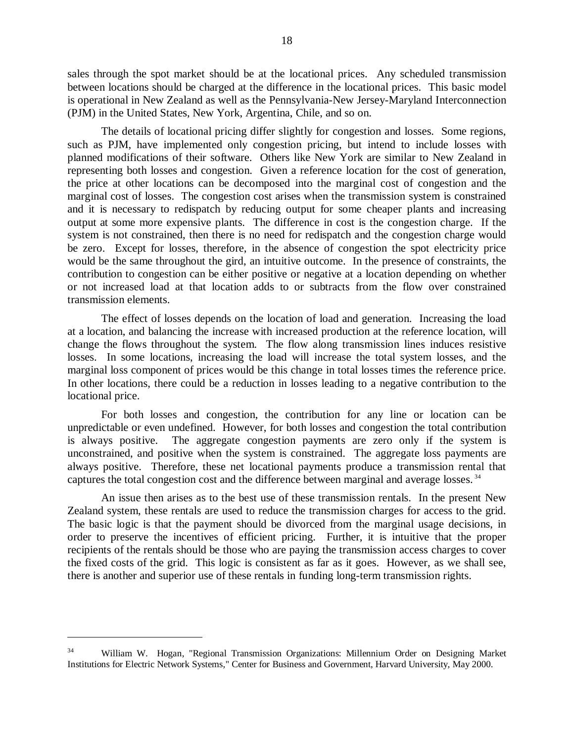sales through the spot market should be at the locational prices. Any scheduled transmission between locations should be charged at the difference in the locational prices. This basic model is operational in New Zealand as well as the Pennsylvania-New Jersey-Maryland Interconnection (PJM) in the United States, New York, Argentina, Chile, and so on.

The details of locational pricing differ slightly for congestion and losses. Some regions, such as PJM, have implemented only congestion pricing, but intend to include losses with planned modifications of their software. Others like New York are similar to New Zealand in representing both losses and congestion. Given a reference location for the cost of generation, the price at other locations can be decomposed into the marginal cost of congestion and the marginal cost of losses. The congestion cost arises when the transmission system is constrained and it is necessary to redispatch by reducing output for some cheaper plants and increasing output at some more expensive plants. The difference in cost is the congestion charge. If the system is not constrained, then there is no need for redispatch and the congestion charge would be zero. Except for losses, therefore, in the absence of congestion the spot electricity price would be the same throughout the gird, an intuitive outcome. In the presence of constraints, the contribution to congestion can be either positive or negative at a location depending on whether or not increased load at that location adds to or subtracts from the flow over constrained transmission elements.

The effect of losses depends on the location of load and generation. Increasing the load at a location, and balancing the increase with increased production at the reference location, will change the flows throughout the system. The flow along transmission lines induces resistive losses. In some locations, increasing the load will increase the total system losses, and the marginal loss component of prices would be this change in total losses times the reference price. In other locations, there could be a reduction in losses leading to a negative contribution to the locational price.

For both losses and congestion, the contribution for any line or location can be unpredictable or even undefined. However, for both losses and congestion the total contribution is always positive. The aggregate congestion payments are zero only if the system is unconstrained, and positive when the system is constrained. The aggregate loss payments are always positive. Therefore, these net locational payments produce a transmission rental that captures the total congestion cost and the difference between marginal and average losses. 34

An issue then arises as to the best use of these transmission rentals. In the present New Zealand system, these rentals are used to reduce the transmission charges for access to the grid. The basic logic is that the payment should be divorced from the marginal usage decisions, in order to preserve the incentives of efficient pricing. Further, it is intuitive that the proper recipients of the rentals should be those who are paying the transmission access charges to cover the fixed costs of the grid. This logic is consistent as far as it goes. However, as we shall see, there is another and superior use of these rentals in funding long-term transmission rights.

<sup>34</sup> William W. Hogan, "Regional Transmission Organizations: Millennium Order on Designing Market Institutions for Electric Network Systems," Center for Business and Government, Harvard University, May 2000.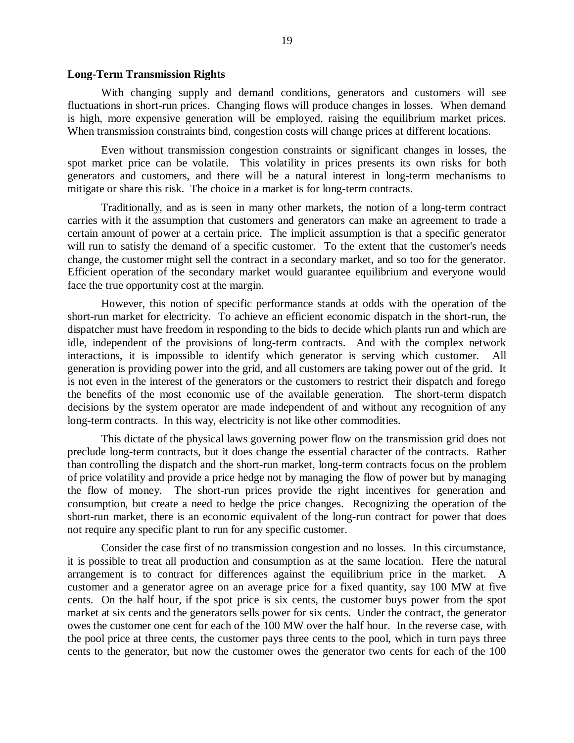### **Long-Term Transmission Rights**

With changing supply and demand conditions, generators and customers will see fluctuations in short-run prices. Changing flows will produce changes in losses. When demand is high, more expensive generation will be employed, raising the equilibrium market prices. When transmission constraints bind, congestion costs will change prices at different locations.

Even without transmission congestion constraints or significant changes in losses, the spot market price can be volatile. This volatility in prices presents its own risks for both generators and customers, and there will be a natural interest in long-term mechanisms to mitigate or share this risk. The choice in a market is for long-term contracts.

Traditionally, and as is seen in many other markets, the notion of a long-term contract carries with it the assumption that customers and generators can make an agreement to trade a certain amount of power at a certain price. The implicit assumption is that a specific generator will run to satisfy the demand of a specific customer. To the extent that the customer's needs change, the customer might sell the contract in a secondary market, and so too for the generator. Efficient operation of the secondary market would guarantee equilibrium and everyone would face the true opportunity cost at the margin.

However, this notion of specific performance stands at odds with the operation of the short-run market for electricity. To achieve an efficient economic dispatch in the short-run, the dispatcher must have freedom in responding to the bids to decide which plants run and which are idle, independent of the provisions of long-term contracts. And with the complex network interactions, it is impossible to identify which generator is serving which customer. All generation is providing power into the grid, and all customers are taking power out of the grid. It is not even in the interest of the generators or the customers to restrict their dispatch and forego the benefits of the most economic use of the available generation. The short-term dispatch decisions by the system operator are made independent of and without any recognition of any long-term contracts. In this way, electricity is not like other commodities.

This dictate of the physical laws governing power flow on the transmission grid does not preclude long-term contracts, but it does change the essential character of the contracts. Rather than controlling the dispatch and the short-run market, long-term contracts focus on the problem of price volatility and provide a price hedge not by managing the flow of power but by managing the flow of money. The short-run prices provide the right incentives for generation and consumption, but create a need to hedge the price changes. Recognizing the operation of the short-run market, there is an economic equivalent of the long-run contract for power that does not require any specific plant to run for any specific customer.

Consider the case first of no transmission congestion and no losses. In this circumstance, it is possible to treat all production and consumption as at the same location. Here the natural arrangement is to contract for differences against the equilibrium price in the market. A customer and a generator agree on an average price for a fixed quantity, say 100 MW at five cents. On the half hour, if the spot price is six cents, the customer buys power from the spot market at six cents and the generators sells power for six cents. Under the contract, the generator owes the customer one cent for each of the 100 MW over the half hour. In the reverse case, with the pool price at three cents, the customer pays three cents to the pool, which in turn pays three cents to the generator, but now the customer owes the generator two cents for each of the 100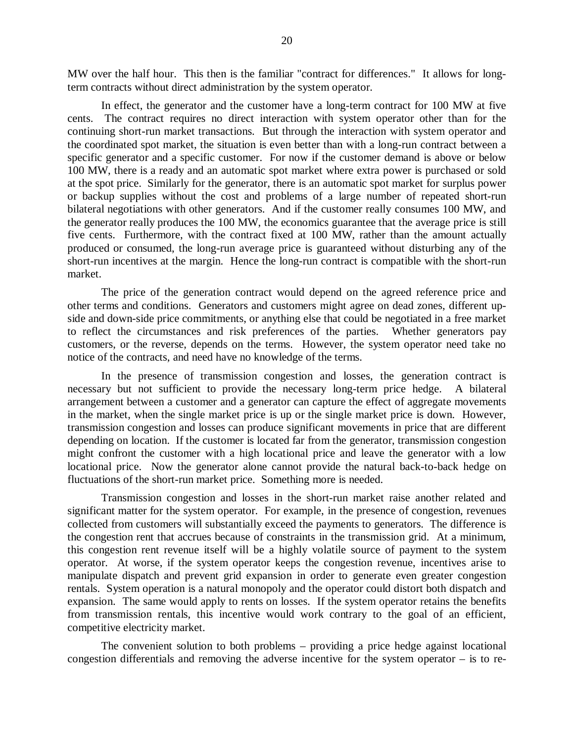MW over the half hour. This then is the familiar "contract for differences." It allows for longterm contracts without direct administration by the system operator.

In effect, the generator and the customer have a long-term contract for 100 MW at five cents. The contract requires no direct interaction with system operator other than for the continuing short-run market transactions. But through the interaction with system operator and the coordinated spot market, the situation is even better than with a long-run contract between a specific generator and a specific customer. For now if the customer demand is above or below 100 MW, there is a ready and an automatic spot market where extra power is purchased or sold at the spot price. Similarly for the generator, there is an automatic spot market for surplus power or backup supplies without the cost and problems of a large number of repeated short-run bilateral negotiations with other generators. And if the customer really consumes 100 MW, and the generator really produces the 100 MW, the economics guarantee that the average price is still five cents. Furthermore, with the contract fixed at 100 MW, rather than the amount actually produced or consumed, the long-run average price is guaranteed without disturbing any of the short-run incentives at the margin. Hence the long-run contract is compatible with the short-run market.

The price of the generation contract would depend on the agreed reference price and other terms and conditions. Generators and customers might agree on dead zones, different upside and down-side price commitments, or anything else that could be negotiated in a free market to reflect the circumstances and risk preferences of the parties. Whether generators pay customers, or the reverse, depends on the terms. However, the system operator need take no notice of the contracts, and need have no knowledge of the terms.

In the presence of transmission congestion and losses, the generation contract is necessary but not sufficient to provide the necessary long-term price hedge. A bilateral arrangement between a customer and a generator can capture the effect of aggregate movements in the market, when the single market price is up or the single market price is down. However, transmission congestion and losses can produce significant movements in price that are different depending on location. If the customer is located far from the generator, transmission congestion might confront the customer with a high locational price and leave the generator with a low locational price. Now the generator alone cannot provide the natural back-to-back hedge on fluctuations of the short-run market price. Something more is needed.

Transmission congestion and losses in the short-run market raise another related and significant matter for the system operator. For example, in the presence of congestion, revenues collected from customers will substantially exceed the payments to generators. The difference is the congestion rent that accrues because of constraints in the transmission grid. At a minimum, this congestion rent revenue itself will be a highly volatile source of payment to the system operator. At worse, if the system operator keeps the congestion revenue, incentives arise to manipulate dispatch and prevent grid expansion in order to generate even greater congestion rentals. System operation is a natural monopoly and the operator could distort both dispatch and expansion. The same would apply to rents on losses. If the system operator retains the benefits from transmission rentals, this incentive would work contrary to the goal of an efficient, competitive electricity market.

The convenient solution to both problems – providing a price hedge against locational congestion differentials and removing the adverse incentive for the system operator – is to re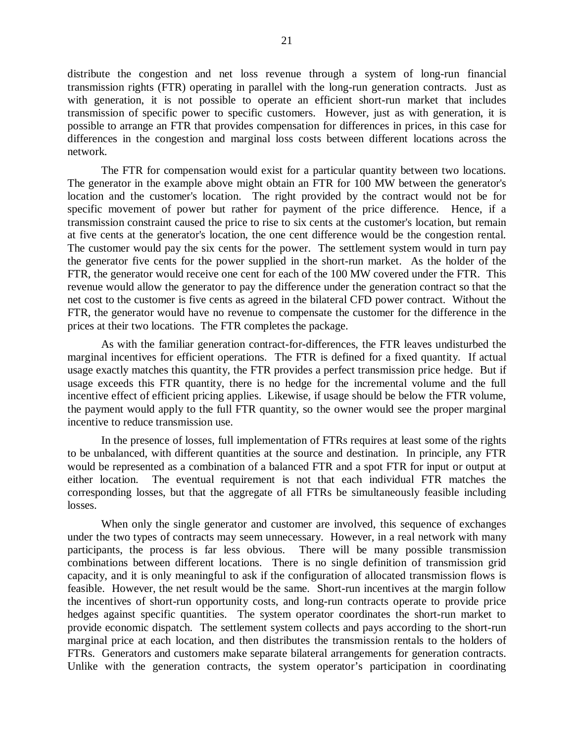distribute the congestion and net loss revenue through a system of long-run financial transmission rights (FTR) operating in parallel with the long-run generation contracts. Just as with generation, it is not possible to operate an efficient short-run market that includes transmission of specific power to specific customers. However, just as with generation, it is possible to arrange an FTR that provides compensation for differences in prices, in this case for differences in the congestion and marginal loss costs between different locations across the network.

The FTR for compensation would exist for a particular quantity between two locations. The generator in the example above might obtain an FTR for 100 MW between the generator's location and the customer's location. The right provided by the contract would not be for specific movement of power but rather for payment of the price difference. Hence, if a transmission constraint caused the price to rise to six cents at the customer's location, but remain at five cents at the generator's location, the one cent difference would be the congestion rental. The customer would pay the six cents for the power. The settlement system would in turn pay the generator five cents for the power supplied in the short-run market. As the holder of the FTR, the generator would receive one cent for each of the 100 MW covered under the FTR. This revenue would allow the generator to pay the difference under the generation contract so that the net cost to the customer is five cents as agreed in the bilateral CFD power contract. Without the FTR, the generator would have no revenue to compensate the customer for the difference in the prices at their two locations. The FTR completes the package.

As with the familiar generation contract-for-differences, the FTR leaves undisturbed the marginal incentives for efficient operations. The FTR is defined for a fixed quantity. If actual usage exactly matches this quantity, the FTR provides a perfect transmission price hedge. But if usage exceeds this FTR quantity, there is no hedge for the incremental volume and the full incentive effect of efficient pricing applies. Likewise, if usage should be below the FTR volume, the payment would apply to the full FTR quantity, so the owner would see the proper marginal incentive to reduce transmission use.

In the presence of losses, full implementation of FTRs requires at least some of the rights to be unbalanced, with different quantities at the source and destination. In principle, any FTR would be represented as a combination of a balanced FTR and a spot FTR for input or output at either location. The eventual requirement is not that each individual FTR matches the corresponding losses, but that the aggregate of all FTRs be simultaneously feasible including losses.

When only the single generator and customer are involved, this sequence of exchanges under the two types of contracts may seem unnecessary. However, in a real network with many participants, the process is far less obvious. There will be many possible transmission combinations between different locations. There is no single definition of transmission grid capacity, and it is only meaningful to ask if the configuration of allocated transmission flows is feasible. However, the net result would be the same. Short-run incentives at the margin follow the incentives of short-run opportunity costs, and long-run contracts operate to provide price hedges against specific quantities. The system operator coordinates the short-run market to provide economic dispatch. The settlement system collects and pays according to the short-run marginal price at each location, and then distributes the transmission rentals to the holders of FTRs. Generators and customers make separate bilateral arrangements for generation contracts. Unlike with the generation contracts, the system operator's participation in coordinating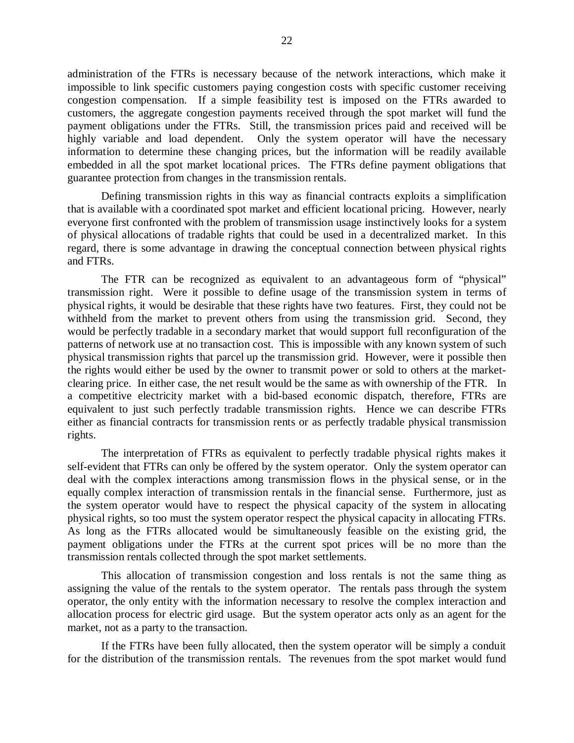administration of the FTRs is necessary because of the network interactions, which make it impossible to link specific customers paying congestion costs with specific customer receiving congestion compensation. If a simple feasibility test is imposed on the FTRs awarded to customers, the aggregate congestion payments received through the spot market will fund the payment obligations under the FTRs. Still, the transmission prices paid and received will be highly variable and load dependent. Only the system operator will have the necessary information to determine these changing prices, but the information will be readily available embedded in all the spot market locational prices. The FTRs define payment obligations that guarantee protection from changes in the transmission rentals.

Defining transmission rights in this way as financial contracts exploits a simplification that is available with a coordinated spot market and efficient locational pricing. However, nearly everyone first confronted with the problem of transmission usage instinctively looks for a system of physical allocations of tradable rights that could be used in a decentralized market. In this regard, there is some advantage in drawing the conceptual connection between physical rights and FTRs.

The FTR can be recognized as equivalent to an advantageous form of "physical" transmission right. Were it possible to define usage of the transmission system in terms of physical rights, it would be desirable that these rights have two features. First, they could not be withheld from the market to prevent others from using the transmission grid. Second, they would be perfectly tradable in a secondary market that would support full reconfiguration of the patterns of network use at no transaction cost. This is impossible with any known system of such physical transmission rights that parcel up the transmission grid. However, were it possible then the rights would either be used by the owner to transmit power or sold to others at the marketclearing price. In either case, the net result would be the same as with ownership of the FTR. In a competitive electricity market with a bid-based economic dispatch, therefore, FTRs are equivalent to just such perfectly tradable transmission rights. Hence we can describe FTRs either as financial contracts for transmission rents or as perfectly tradable physical transmission rights.

The interpretation of FTRs as equivalent to perfectly tradable physical rights makes it self-evident that FTRs can only be offered by the system operator. Only the system operator can deal with the complex interactions among transmission flows in the physical sense, or in the equally complex interaction of transmission rentals in the financial sense. Furthermore, just as the system operator would have to respect the physical capacity of the system in allocating physical rights, so too must the system operator respect the physical capacity in allocating FTRs. As long as the FTRs allocated would be simultaneously feasible on the existing grid, the payment obligations under the FTRs at the current spot prices will be no more than the transmission rentals collected through the spot market settlements.

This allocation of transmission congestion and loss rentals is not the same thing as assigning the value of the rentals to the system operator. The rentals pass through the system operator, the only entity with the information necessary to resolve the complex interaction and allocation process for electric gird usage. But the system operator acts only as an agent for the market, not as a party to the transaction.

If the FTRs have been fully allocated, then the system operator will be simply a conduit for the distribution of the transmission rentals. The revenues from the spot market would fund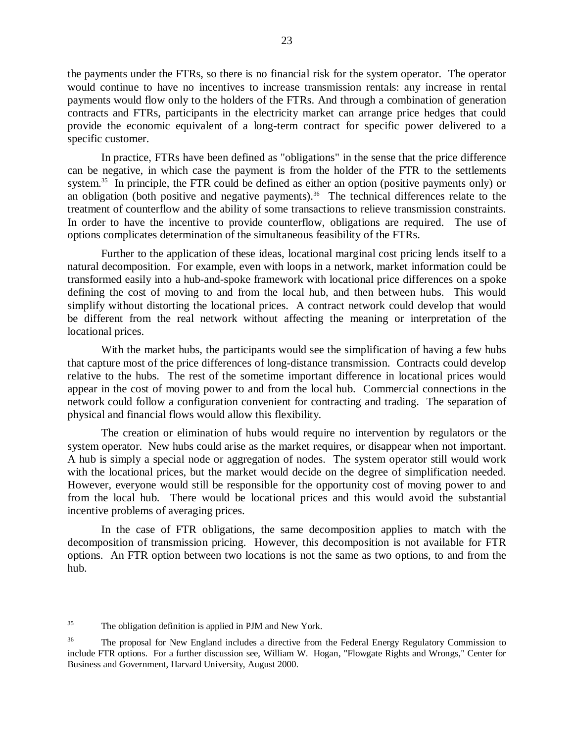the payments under the FTRs, so there is no financial risk for the system operator. The operator would continue to have no incentives to increase transmission rentals: any increase in rental payments would flow only to the holders of the FTRs. And through a combination of generation contracts and FTRs, participants in the electricity market can arrange price hedges that could provide the economic equivalent of a long-term contract for specific power delivered to a specific customer.

In practice, FTRs have been defined as "obligations" in the sense that the price difference can be negative, in which case the payment is from the holder of the FTR to the settlements system.<sup>35</sup> In principle, the FTR could be defined as either an option (positive payments only) or an obligation (both positive and negative payments).<sup>36</sup> The technical differences relate to the treatment of counterflow and the ability of some transactions to relieve transmission constraints. In order to have the incentive to provide counterflow, obligations are required. The use of options complicates determination of the simultaneous feasibility of the FTRs.

Further to the application of these ideas, locational marginal cost pricing lends itself to a natural decomposition. For example, even with loops in a network, market information could be transformed easily into a hub-and-spoke framework with locational price differences on a spoke defining the cost of moving to and from the local hub, and then between hubs. This would simplify without distorting the locational prices. A contract network could develop that would be different from the real network without affecting the meaning or interpretation of the locational prices.

With the market hubs, the participants would see the simplification of having a few hubs that capture most of the price differences of long-distance transmission. Contracts could develop relative to the hubs. The rest of the sometime important difference in locational prices would appear in the cost of moving power to and from the local hub. Commercial connections in the network could follow a configuration convenient for contracting and trading. The separation of physical and financial flows would allow this flexibility.

The creation or elimination of hubs would require no intervention by regulators or the system operator. New hubs could arise as the market requires, or disappear when not important. A hub is simply a special node or aggregation of nodes. The system operator still would work with the locational prices, but the market would decide on the degree of simplification needed. However, everyone would still be responsible for the opportunity cost of moving power to and from the local hub. There would be locational prices and this would avoid the substantial incentive problems of averaging prices.

In the case of FTR obligations, the same decomposition applies to match with the decomposition of transmission pricing. However, this decomposition is not available for FTR options. An FTR option between two locations is not the same as two options, to and from the hub.

<sup>&</sup>lt;sup>35</sup> The obligation definition is applied in PJM and New York.

<sup>&</sup>lt;sup>36</sup> The proposal for New England includes a directive from the Federal Energy Regulatory Commission to include FTR options. For a further discussion see, William W. Hogan, "Flowgate Rights and Wrongs," Center for Business and Government, Harvard University, August 2000.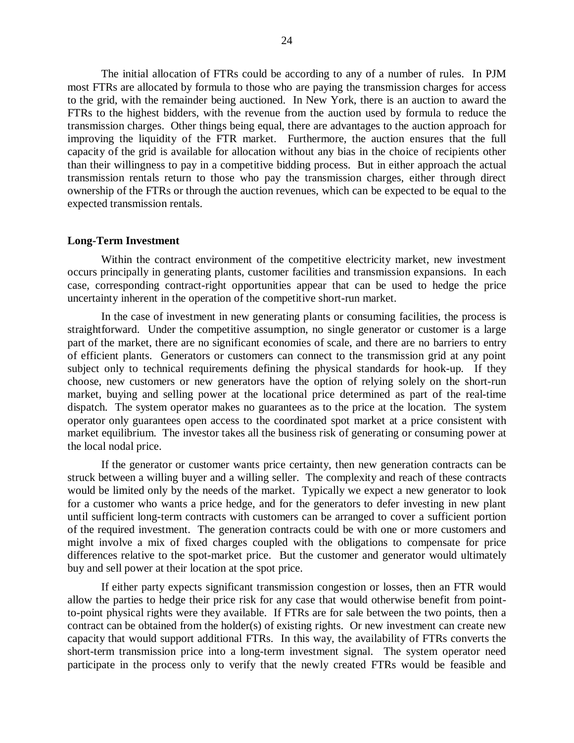The initial allocation of FTRs could be according to any of a number of rules. In PJM most FTRs are allocated by formula to those who are paying the transmission charges for access to the grid, with the remainder being auctioned. In New York, there is an auction to award the FTRs to the highest bidders, with the revenue from the auction used by formula to reduce the transmission charges. Other things being equal, there are advantages to the auction approach for improving the liquidity of the FTR market. Furthermore, the auction ensures that the full capacity of the grid is available for allocation without any bias in the choice of recipients other than their willingness to pay in a competitive bidding process. But in either approach the actual transmission rentals return to those who pay the transmission charges, either through direct ownership of the FTRs or through the auction revenues, which can be expected to be equal to the expected transmission rentals.

#### **Long-Term Investment**

Within the contract environment of the competitive electricity market, new investment occurs principally in generating plants, customer facilities and transmission expansions. In each case, corresponding contract-right opportunities appear that can be used to hedge the price uncertainty inherent in the operation of the competitive short-run market.

In the case of investment in new generating plants or consuming facilities, the process is straightforward. Under the competitive assumption, no single generator or customer is a large part of the market, there are no significant economies of scale, and there are no barriers to entry of efficient plants. Generators or customers can connect to the transmission grid at any point subject only to technical requirements defining the physical standards for hook-up. If they choose, new customers or new generators have the option of relying solely on the short-run market, buying and selling power at the locational price determined as part of the real-time dispatch. The system operator makes no guarantees as to the price at the location. The system operator only guarantees open access to the coordinated spot market at a price consistent with market equilibrium. The investor takes all the business risk of generating or consuming power at the local nodal price.

If the generator or customer wants price certainty, then new generation contracts can be struck between a willing buyer and a willing seller. The complexity and reach of these contracts would be limited only by the needs of the market. Typically we expect a new generator to look for a customer who wants a price hedge, and for the generators to defer investing in new plant until sufficient long-term contracts with customers can be arranged to cover a sufficient portion of the required investment. The generation contracts could be with one or more customers and might involve a mix of fixed charges coupled with the obligations to compensate for price differences relative to the spot-market price. But the customer and generator would ultimately buy and sell power at their location at the spot price.

If either party expects significant transmission congestion or losses, then an FTR would allow the parties to hedge their price risk for any case that would otherwise benefit from pointto-point physical rights were they available. If FTRs are for sale between the two points, then a contract can be obtained from the holder(s) of existing rights. Or new investment can create new capacity that would support additional FTRs. In this way, the availability of FTRs converts the short-term transmission price into a long-term investment signal. The system operator need participate in the process only to verify that the newly created FTRs would be feasible and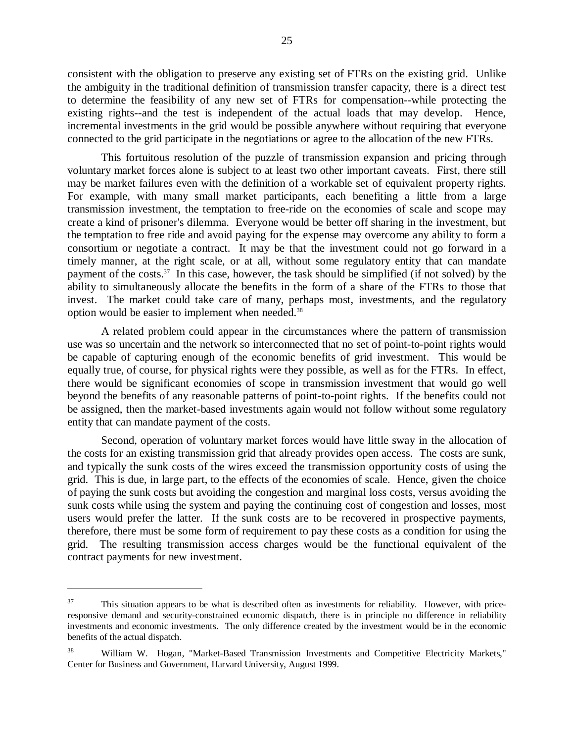consistent with the obligation to preserve any existing set of FTRs on the existing grid. Unlike the ambiguity in the traditional definition of transmission transfer capacity, there is a direct test to determine the feasibility of any new set of FTRs for compensation--while protecting the existing rights--and the test is independent of the actual loads that may develop. Hence, incremental investments in the grid would be possible anywhere without requiring that everyone connected to the grid participate in the negotiations or agree to the allocation of the new FTRs.

This fortuitous resolution of the puzzle of transmission expansion and pricing through voluntary market forces alone is subject to at least two other important caveats. First, there still may be market failures even with the definition of a workable set of equivalent property rights. For example, with many small market participants, each benefiting a little from a large transmission investment, the temptation to free-ride on the economies of scale and scope may create a kind of prisoner's dilemma. Everyone would be better off sharing in the investment, but the temptation to free ride and avoid paying for the expense may overcome any ability to form a consortium or negotiate a contract. It may be that the investment could not go forward in a timely manner, at the right scale, or at all, without some regulatory entity that can mandate payment of the costs. $37$  In this case, however, the task should be simplified (if not solved) by the ability to simultaneously allocate the benefits in the form of a share of the FTRs to those that invest. The market could take care of many, perhaps most, investments, and the regulatory option would be easier to implement when needed.<sup>38</sup>

A related problem could appear in the circumstances where the pattern of transmission use was so uncertain and the network so interconnected that no set of point-to-point rights would be capable of capturing enough of the economic benefits of grid investment. This would be equally true, of course, for physical rights were they possible, as well as for the FTRs. In effect, there would be significant economies of scope in transmission investment that would go well beyond the benefits of any reasonable patterns of point-to-point rights. If the benefits could not be assigned, then the market-based investments again would not follow without some regulatory entity that can mandate payment of the costs.

Second, operation of voluntary market forces would have little sway in the allocation of the costs for an existing transmission grid that already provides open access. The costs are sunk, and typically the sunk costs of the wires exceed the transmission opportunity costs of using the grid. This is due, in large part, to the effects of the economies of scale. Hence, given the choice of paying the sunk costs but avoiding the congestion and marginal loss costs, versus avoiding the sunk costs while using the system and paying the continuing cost of congestion and losses, most users would prefer the latter. If the sunk costs are to be recovered in prospective payments, therefore, there must be some form of requirement to pay these costs as a condition for using the grid. The resulting transmission access charges would be the functional equivalent of the contract payments for new investment.

<sup>&</sup>lt;sup>37</sup> This situation appears to be what is described often as investments for reliability. However, with priceresponsive demand and security-constrained economic dispatch, there is in principle no difference in reliability investments and economic investments. The only difference created by the investment would be in the economic benefits of the actual dispatch.

<sup>&</sup>lt;sup>38</sup> William W. Hogan, "Market-Based Transmission Investments and Competitive Electricity Markets," Center for Business and Government, Harvard University, August 1999.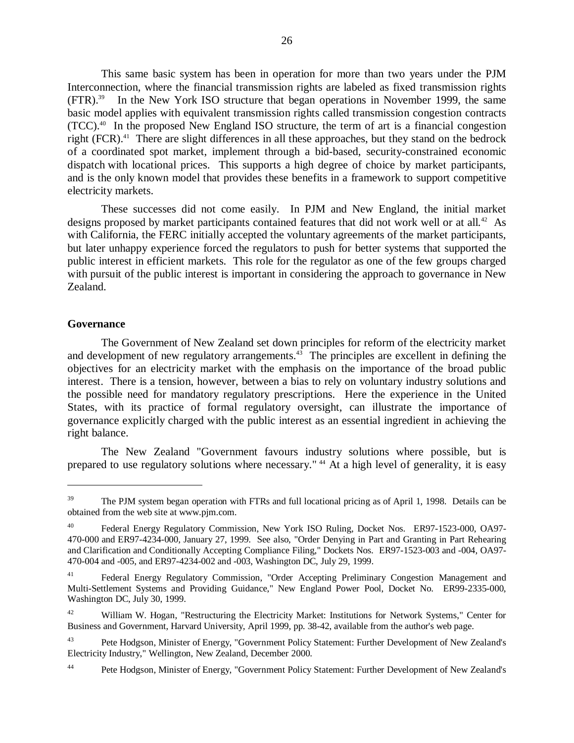This same basic system has been in operation for more than two years under the PJM Interconnection, where the financial transmission rights are labeled as fixed transmission rights (FTR).39 In the New York ISO structure that began operations in November 1999, the same basic model applies with equivalent transmission rights called transmission congestion contracts  $(TCC)$ <sup>40</sup> In the proposed New England ISO structure, the term of art is a financial congestion right (FCR).<sup>41</sup> There are slight differences in all these approaches, but they stand on the bedrock of a coordinated spot market, implement through a bid-based, security-constrained economic dispatch with locational prices. This supports a high degree of choice by market participants, and is the only known model that provides these benefits in a framework to support competitive electricity markets.

These successes did not come easily. In PJM and New England, the initial market designs proposed by market participants contained features that did not work well or at all.<sup>42</sup> As with California, the FERC initially accepted the voluntary agreements of the market participants, but later unhappy experience forced the regulators to push for better systems that supported the public interest in efficient markets. This role for the regulator as one of the few groups charged with pursuit of the public interest is important in considering the approach to governance in New Zealand.

#### **Governance**

 $\overline{a}$ 

The Government of New Zealand set down principles for reform of the electricity market and development of new regulatory arrangements.<sup>43</sup> The principles are excellent in defining the objectives for an electricity market with the emphasis on the importance of the broad public interest. There is a tension, however, between a bias to rely on voluntary industry solutions and the possible need for mandatory regulatory prescriptions. Here the experience in the United States, with its practice of formal regulatory oversight, can illustrate the importance of governance explicitly charged with the public interest as an essential ingredient in achieving the right balance.

The New Zealand "Government favours industry solutions where possible, but is prepared to use regulatory solutions where necessary."<sup>44</sup> At a high level of generality, it is easy

<sup>&</sup>lt;sup>39</sup> The PJM system began operation with FTRs and full locational pricing as of April 1, 1998. Details can be obtained from the web site at www.pjm.com.

<sup>40</sup> Federal Energy Regulatory Commission, New York ISO Ruling, Docket Nos. ER97-1523-000, OA97- 470-000 and ER97-4234-000, January 27, 1999. See also, "Order Denying in Part and Granting in Part Rehearing and Clarification and Conditionally Accepting Compliance Filing," Dockets Nos. ER97-1523-003 and -004, OA97- 470-004 and -005, and ER97-4234-002 and -003, Washington DC, July 29, 1999.

<sup>41</sup> Federal Energy Regulatory Commission, "Order Accepting Preliminary Congestion Management and Multi-Settlement Systems and Providing Guidance," New England Power Pool, Docket No. ER99-2335-000, Washington DC, July 30, 1999.

<sup>&</sup>lt;sup>42</sup> William W. Hogan, "Restructuring the Electricity Market: Institutions for Network Systems," Center for Business and Government, Harvard University, April 1999, pp. 38-42, available from the author's web page.

<sup>&</sup>lt;sup>43</sup> Pete Hodgson, Minister of Energy, "Government Policy Statement: Further Development of New Zealand's Electricity Industry," Wellington, New Zealand, December 2000.

<sup>44</sup> Pete Hodgson, Minister of Energy, "Government Policy Statement: Further Development of New Zealand's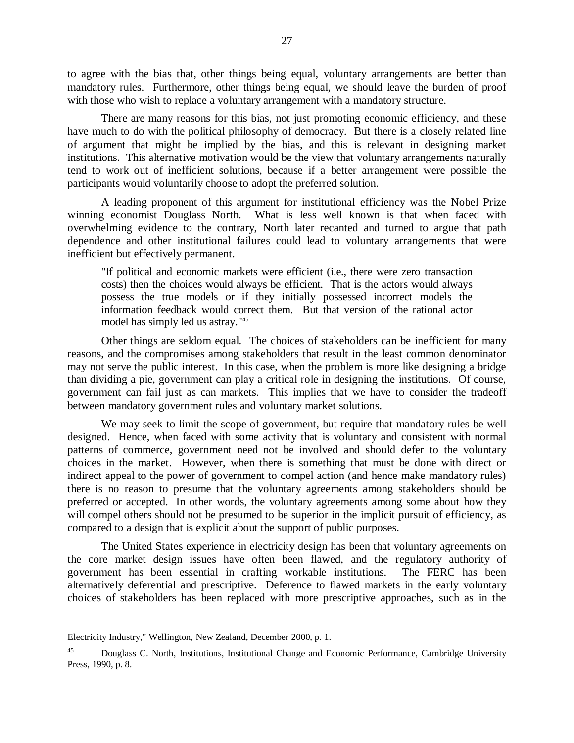to agree with the bias that, other things being equal, voluntary arrangements are better than mandatory rules. Furthermore, other things being equal, we should leave the burden of proof with those who wish to replace a voluntary arrangement with a mandatory structure.

There are many reasons for this bias, not just promoting economic efficiency, and these have much to do with the political philosophy of democracy. But there is a closely related line of argument that might be implied by the bias, and this is relevant in designing market institutions. This alternative motivation would be the view that voluntary arrangements naturally tend to work out of inefficient solutions, because if a better arrangement were possible the participants would voluntarily choose to adopt the preferred solution.

A leading proponent of this argument for institutional efficiency was the Nobel Prize winning economist Douglass North. What is less well known is that when faced with overwhelming evidence to the contrary, North later recanted and turned to argue that path dependence and other institutional failures could lead to voluntary arrangements that were inefficient but effectively permanent.

"If political and economic markets were efficient (i.e., there were zero transaction costs) then the choices would always be efficient. That is the actors would always possess the true models or if they initially possessed incorrect models the information feedback would correct them. But that version of the rational actor model has simply led us astray."45

Other things are seldom equal. The choices of stakeholders can be inefficient for many reasons, and the compromises among stakeholders that result in the least common denominator may not serve the public interest. In this case, when the problem is more like designing a bridge than dividing a pie, government can play a critical role in designing the institutions. Of course, government can fail just as can markets. This implies that we have to consider the tradeoff between mandatory government rules and voluntary market solutions.

We may seek to limit the scope of government, but require that mandatory rules be well designed. Hence, when faced with some activity that is voluntary and consistent with normal patterns of commerce, government need not be involved and should defer to the voluntary choices in the market. However, when there is something that must be done with direct or indirect appeal to the power of government to compel action (and hence make mandatory rules) there is no reason to presume that the voluntary agreements among stakeholders should be preferred or accepted. In other words, the voluntary agreements among some about how they will compel others should not be presumed to be superior in the implicit pursuit of efficiency, as compared to a design that is explicit about the support of public purposes.

The United States experience in electricity design has been that voluntary agreements on the core market design issues have often been flawed, and the regulatory authority of government has been essential in crafting workable institutions. The FERC has been alternatively deferential and prescriptive. Deference to flawed markets in the early voluntary choices of stakeholders has been replaced with more prescriptive approaches, such as in the

Electricity Industry," Wellington, New Zealand, December 2000, p. 1.

<sup>&</sup>lt;sup>45</sup> Douglass C. North, Institutions, Institutional Change and Economic Performance, Cambridge University Press, 1990, p. 8.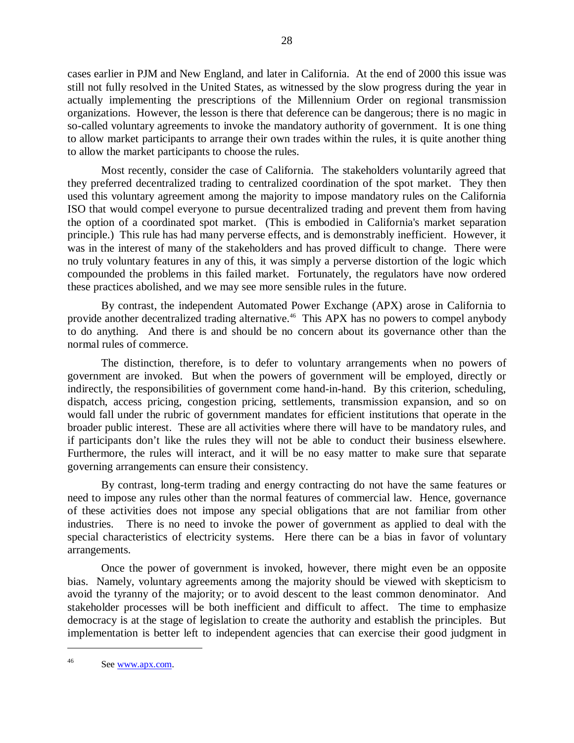cases earlier in PJM and New England, and later in California. At the end of 2000 this issue was still not fully resolved in the United States, as witnessed by the slow progress during the year in actually implementing the prescriptions of the Millennium Order on regional transmission organizations. However, the lesson is there that deference can be dangerous; there is no magic in so-called voluntary agreements to invoke the mandatory authority of government. It is one thing to allow market participants to arrange their own trades within the rules, it is quite another thing to allow the market participants to choose the rules.

Most recently, consider the case of California. The stakeholders voluntarily agreed that they preferred decentralized trading to centralized coordination of the spot market. They then used this voluntary agreement among the majority to impose mandatory rules on the California ISO that would compel everyone to pursue decentralized trading and prevent them from having the option of a coordinated spot market. (This is embodied in California's market separation principle.) This rule has had many perverse effects, and is demonstrably inefficient. However, it was in the interest of many of the stakeholders and has proved difficult to change. There were no truly voluntary features in any of this, it was simply a perverse distortion of the logic which compounded the problems in this failed market. Fortunately, the regulators have now ordered these practices abolished, and we may see more sensible rules in the future.

By contrast, the independent Automated Power Exchange (APX) arose in California to provide another decentralized trading alternative.<sup>46</sup> This APX has no powers to compel anybody to do anything. And there is and should be no concern about its governance other than the normal rules of commerce.

The distinction, therefore, is to defer to voluntary arrangements when no powers of government are invoked. But when the powers of government will be employed, directly or indirectly, the responsibilities of government come hand-in-hand. By this criterion, scheduling, dispatch, access pricing, congestion pricing, settlements, transmission expansion, and so on would fall under the rubric of government mandates for efficient institutions that operate in the broader public interest. These are all activities where there will have to be mandatory rules, and if participants don't like the rules they will not be able to conduct their business elsewhere. Furthermore, the rules will interact, and it will be no easy matter to make sure that separate governing arrangements can ensure their consistency.

By contrast, long-term trading and energy contracting do not have the same features or need to impose any rules other than the normal features of commercial law. Hence, governance of these activities does not impose any special obligations that are not familiar from other industries. There is no need to invoke the power of government as applied to deal with the special characteristics of electricity systems. Here there can be a bias in favor of voluntary arrangements.

Once the power of government is invoked, however, there might even be an opposite bias. Namely, voluntary agreements among the majority should be viewed with skepticism to avoid the tyranny of the majority; or to avoid descent to the least common denominator. And stakeholder processes will be both inefficient and difficult to affect. The time to emphasize democracy is at the stage of legislation to create the authority and establish the principles. But implementation is better left to independent agencies that can exercise their good judgment in

<sup>46</sup> See www.apx.com.